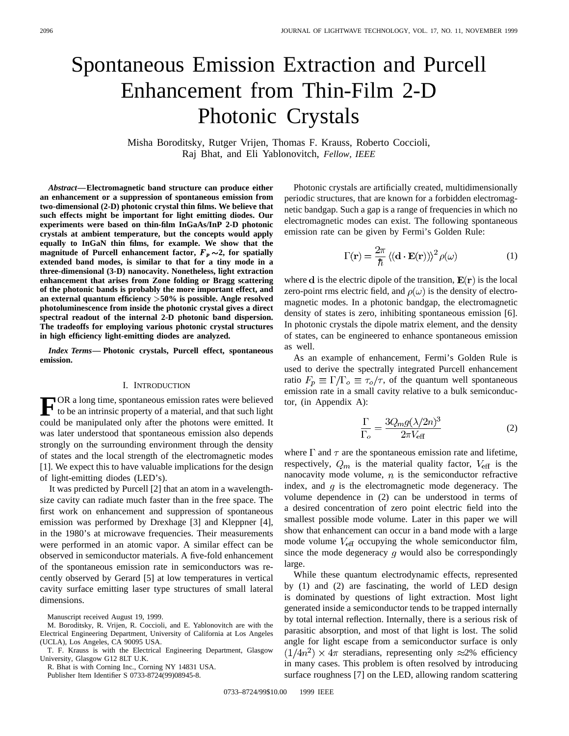# Spontaneous Emission Extraction and Purcell Enhancement from Thin-Film 2-D Photonic Crystals

Misha Boroditsky, Rutger Vrijen, Thomas F. Krauss, Roberto Coccioli, Raj Bhat, and Eli Yablonovitch, *Fellow, IEEE*

*Abstract—***Electromagnetic band structure can produce either an enhancement or a suppression of spontaneous emission from two-dimensional (2-D) photonic crystal thin films. We believe that such effects might be important for light emitting diodes. Our experiments were based on thin-film InGaAs/InP 2-D photonic crystals at ambient temperature, but the concepts would apply equally to InGaN thin films, for example. We show that the magnitude of Purcell enhancement factor,**  $F_p \sim 2$ **, for spatially extended band modes, is similar to that for a tiny mode in a three-dimensional (3-D) nanocavity. Nonetheless, light extraction enhancement that arises from Zone folding or Bragg scattering of the photonic bands is probably the more important effect, and an external quantum efficiency** >**50% is possible. Angle resolved photoluminescence from inside the photonic crystal gives a direct spectral readout of the internal 2-D photonic band dispersion. The tradeoffs for employing various photonic crystal structures in high efficiency light-emitting diodes are analyzed.**

*Index Terms—* **Photonic crystals, Purcell effect, spontaneous emission.**

#### I. INTRODUCTION

FOR a long time, spontaneous emission rates were believed<br>to be an intrinsic property of a material, and that such light could be manipulated only after the photons were emitted. It was later understood that spontaneous emission also depends strongly on the surrounding environment through the density of states and the local strength of the electromagnetic modes [1]. We expect this to have valuable implications for the design of light-emitting diodes (LED's).

It was predicted by Purcell [2] that an atom in a wavelengthsize cavity can radiate much faster than in the free space. The first work on enhancement and suppression of spontaneous emission was performed by Drexhage [3] and Kleppner [4], in the 1980's at microwave frequencies. Their measurements were performed in an atomic vapor. A similar effect can be observed in semiconductor materials. A five-fold enhancement of the spontaneous emission rate in semiconductors was recently observed by Gerard [5] at low temperatures in vertical cavity surface emitting laser type structures of small lateral dimensions.

Manuscript received August 19, 1999.

R. Bhat is with Corning Inc., Corning NY 14831 USA.

Publisher Item Identifier S 0733-8724(99)08945-8.

Photonic crystals are artificially created, multidimensionally periodic structures, that are known for a forbidden electromagnetic bandgap. Such a gap is a range of frequencies in which no electromagnetic modes can exist. The following spontaneous emission rate can be given by Fermi's Golden Rule:

$$
\Gamma(\mathbf{r}) = \frac{2\pi}{\hbar} \left\langle (\mathbf{d} \cdot \mathbf{E}(\mathbf{r})) \right\rangle^2 \rho(\omega)
$$
 (1)

where **d** is the electric dipole of the transition,  $\mathbf{E}(\mathbf{r})$  is the local zero-point rms electric field, and  $\rho(\omega)$  is the density of electromagnetic modes. In a photonic bandgap, the electromagnetic density of states is zero, inhibiting spontaneous emission [6]. In photonic crystals the dipole matrix element, and the density of states, can be engineered to enhance spontaneous emission as well.

As an example of enhancement, Fermi's Golden Rule is used to derive the spectrally integrated Purcell enhancement ratio  $F_p \equiv \Gamma/\Gamma_o \equiv \tau_o/\tau$ , of the quantum well spontaneous emission rate in a small cavity relative to a bulk semiconductor, (in Appendix A):

$$
\frac{\Gamma}{\Gamma_o} = \frac{3Q_m g (\lambda/2n)^3}{2\pi V_{\text{eff}}}
$$
\n(2)

where  $\Gamma$  and  $\tau$  are the spontaneous emission rate and lifetime, respectively,  $Q_m$  is the material quality factor,  $V_{\text{eff}}$  is the nanocavity mode volume,  $n$  is the semiconductor refractive index, and  $g$  is the electromagnetic mode degeneracy. The volume dependence in (2) can be understood in terms of a desired concentration of zero point electric field into the smallest possible mode volume. Later in this paper we will show that enhancement can occur in a band mode with a large mode volume  $V_{\text{eff}}$  occupying the whole semiconductor film, since the mode degeneracy  $g$  would also be correspondingly large.

While these quantum electrodynamic effects, represented by (1) and (2) are fascinating, the world of LED design is dominated by questions of light extraction. Most light generated inside a semiconductor tends to be trapped internally by total internal reflection. Internally, there is a serious risk of parasitic absorption, and most of that light is lost. The solid angle for light escape from a semiconductor surface is only  $(1/4n^2) \times 4\pi$  steradians, representing only  $\approx 2\%$  efficiency in many cases. This problem is often resolved by introducing surface roughness [7] on the LED, allowing random scattering

M. Boroditsky, R. Vrijen, R. Coccioli, and E. Yablonovitch are with the Electrical Engineering Department, University of California at Los Angeles (UCLA), Los Angeles, CA 90095 USA.

T. F. Krauss is with the Electrical Engineering Department, Glasgow University, Glasgow G12 8LT U.K.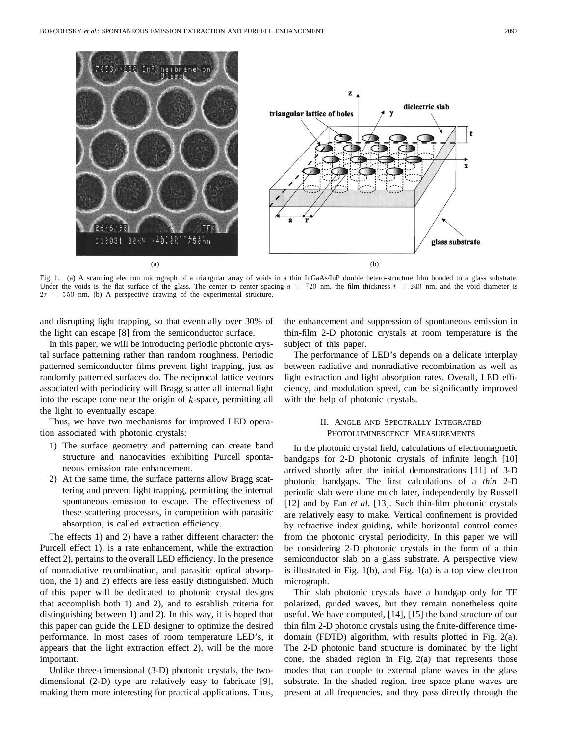

Fig. 1. (a) A scanning electron micrograph of a triangular array of voids in a thin InGaAs/InP double hetero-structure film bonded to a glass substrate. Under the voids is the flat surface of the glass. The center to center spacing  $a = 720$  nm, the film thickness  $t = 240$  nm, and the void diameter is  $2r = 550$  nm. (b) A perspective drawing of the experimental structure.

and disrupting light trapping, so that eventually over 30% of the light can escape [8] from the semiconductor surface.

In this paper, we will be introducing periodic photonic crystal surface patterning rather than random roughness. Periodic patterned semiconductor films prevent light trapping, just as randomly patterned surfaces do. The reciprocal lattice vectors associated with periodicity will Bragg scatter all internal light into the escape cone near the origin of  $k$ -space, permitting all the light to eventually escape.

Thus, we have two mechanisms for improved LED operation associated with photonic crystals:

- 1) The surface geometry and patterning can create band structure and nanocavities exhibiting Purcell spontaneous emission rate enhancement.
- 2) At the same time, the surface patterns allow Bragg scattering and prevent light trapping, permitting the internal spontaneous emission to escape. The effectiveness of these scattering processes, in competition with parasitic absorption, is called extraction efficiency.

The effects 1) and 2) have a rather different character: the Purcell effect 1), is a rate enhancement, while the extraction effect 2), pertains to the overall LED efficiency. In the presence of nonradiative recombination, and parasitic optical absorption, the 1) and 2) effects are less easily distinguished. Much of this paper will be dedicated to photonic crystal designs that accomplish both 1) and 2), and to establish criteria for distinguishing between 1) and 2). In this way, it is hoped that this paper can guide the LED designer to optimize the desired performance. In most cases of room temperature LED's, it appears that the light extraction effect 2), will be the more important.

Unlike three-dimensional (3-D) photonic crystals, the twodimensional (2-D) type are relatively easy to fabricate [9], making them more interesting for practical applications. Thus, the enhancement and suppression of spontaneous emission in thin-film 2-D photonic crystals at room temperature is the subject of this paper.

The performance of LED's depends on a delicate interplay between radiative and nonradiative recombination as well as light extraction and light absorption rates. Overall, LED efficiency, and modulation speed, can be significantly improved with the help of photonic crystals.

# II. ANGLE AND SPECTRALLY INTEGRATED PHOTOLUMINESCENCE MEASUREMENTS

In the photonic crystal field, calculations of electromagnetic bandgaps for 2-D photonic crystals of infinite length [10] arrived shortly after the initial demonstrations [11] of 3-D photonic bandgaps. The first calculations of a *thin* 2-D periodic slab were done much later, independently by Russell [12] and by Fan *et al.* [13]. Such thin-film photonic crystals are relatively easy to make. Vertical confinement is provided by refractive index guiding, while horizontal control comes from the photonic crystal periodicity. In this paper we will be considering 2-D photonic crystals in the form of a thin semiconductor slab on a glass substrate. A perspective view is illustrated in Fig. 1(b), and Fig. 1(a) is a top view electron micrograph.

Thin slab photonic crystals have a bandgap only for TE polarized, guided waves, but they remain nonetheless quite useful. We have computed, [14], [15] the band structure of our thin film 2-D photonic crystals using the finite-difference timedomain (FDTD) algorithm, with results plotted in Fig. 2(a). The 2-D photonic band structure is dominated by the light cone, the shaded region in Fig. 2(a) that represents those modes that can couple to external plane waves in the glass substrate. In the shaded region, free space plane waves are present at all frequencies, and they pass directly through the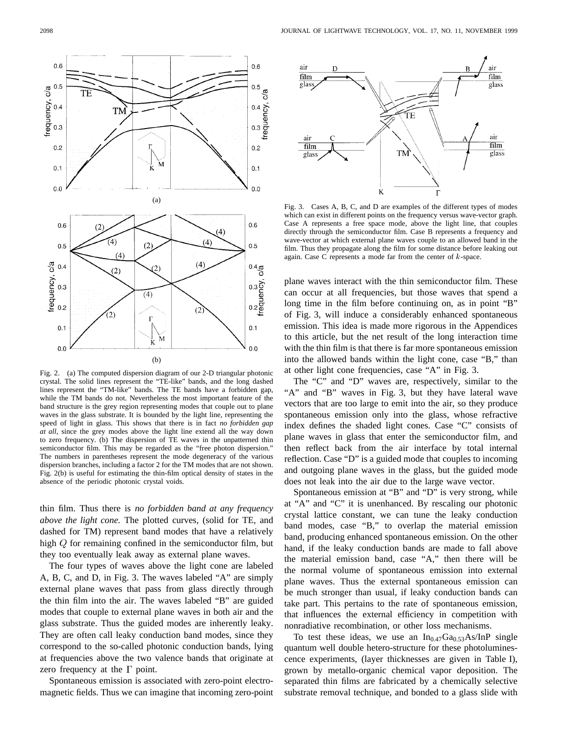

Fig. 2. (a) The computed dispersion diagram of our 2-D triangular photonic crystal. The solid lines represent the "TE-like" bands, and the long dashed lines represent the "TM-like" bands. The TE bands have a forbidden gap, while the TM bands do not. Nevertheless the most important feature of the band structure is the grey region representing modes that couple out to plane waves in the glass substrate. It is bounded by the light line, representing the speed of light in glass. This shows that there is in fact *no forbidden gap at all*, since the grey modes above the light line extend all the way down to zero frequency. (b) The dispersion of TE waves in the unpatterned thin semiconductor film. This may be regarded as the "free photon dispersion." The numbers in parentheses represent the mode degeneracy of the various dispersion branches, including a factor 2 for the TM modes that are not shown. Fig. 2(b) is useful for estimating the thin-film optical density of states in the absence of the periodic photonic crystal voids.

thin film. Thus there is *no forbidden band at any frequency above the light cone.* The plotted curves, (solid for TE, and dashed for TM) represent band modes that have a relatively high  $Q$  for remaining confined in the semiconductor film, but they too eventually leak away as external plane waves.

The four types of waves above the light cone are labeled A, B, C, and D, in Fig. 3. The waves labeled "A" are simply external plane waves that pass from glass directly through the thin film into the air. The waves labeled "B" are guided modes that couple to external plane waves in both air and the glass substrate. Thus the guided modes are inherently leaky. They are often call leaky conduction band modes, since they correspond to the so-called photonic conduction bands, lying at frequencies above the two valence bands that originate at zero frequency at the  $\Gamma$  point.

Spontaneous emission is associated with zero-point electromagnetic fields. Thus we can imagine that incoming zero-point



Fig. 3. Cases A, B, C, and D are examples of the different types of modes which can exist in different points on the frequency versus wave-vector graph. Case A represents a free space mode, above the light line, that couples directly through the semiconductor film. Case B represents a frequency and wave-vector at which external plane waves couple to an allowed band in the film. Thus they propagate along the film for some distance before leaking out again. Case C represents a mode far from the center of  $k$ -space.

plane waves interact with the thin semiconductor film. These can occur at all frequencies, but those waves that spend a long time in the film before continuing on, as in point "B" of Fig. 3, will induce a considerably enhanced spontaneous emission. This idea is made more rigorous in the Appendices to this article, but the net result of the long interaction time with the thin film is that there is far more spontaneous emission into the allowed bands within the light cone, case "B," than at other light cone frequencies, case "A" in Fig. 3.

The "C" and "D" waves are, respectively, similar to the "A" and "B" waves in Fig. 3, but they have lateral wave vectors that are too large to emit into the air, so they produce spontaneous emission only into the glass, whose refractive index defines the shaded light cones. Case "C" consists of plane waves in glass that enter the semiconductor film, and then reflect back from the air interface by total internal reflection. Case "D" is a guided mode that couples to incoming and outgoing plane waves in the glass, but the guided mode does not leak into the air due to the large wave vector.

Spontaneous emission at "B" and "D" is very strong, while at "A" and "C" it is unenhanced. By rescaling our photonic crystal lattice constant, we can tune the leaky conduction band modes, case "B," to overlap the material emission band, producing enhanced spontaneous emission. On the other hand, if the leaky conduction bands are made to fall above the material emission band, case "A," then there will be the normal volume of spontaneous emission into external plane waves. Thus the external spontaneous emission can be much stronger than usual, if leaky conduction bands can take part. This pertains to the rate of spontaneous emission, that influences the external efficiency in competition with nonradiative recombination, or other loss mechanisms.

To test these ideas, we use an  $In_{0.47}Ga_{0.53}As/InP$  single quantum well double hetero-structure for these photoluminescence experiments, (layer thicknesses are given in Table I), grown by metallo-organic chemical vapor deposition. The separated thin films are fabricated by a chemically selective substrate removal technique, and bonded to a glass slide with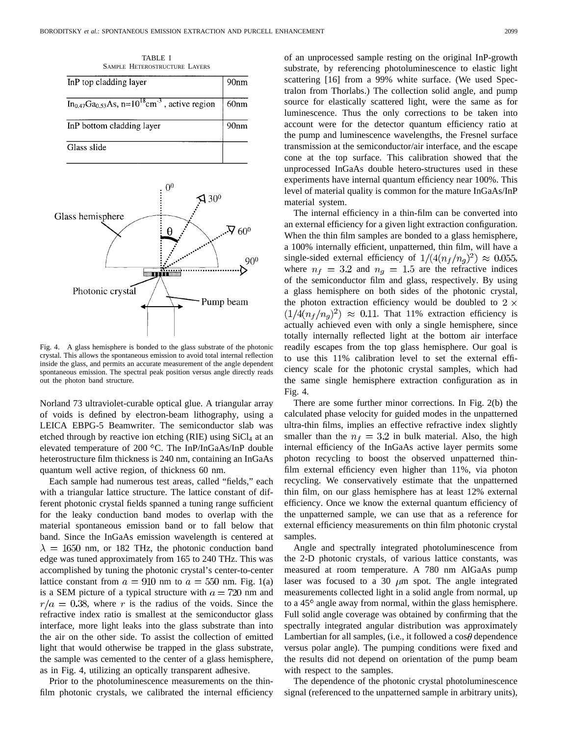TABLE I SAMPLE HETEROSTRUCTURE LAYERS

| InP top cladding layer                                                       | 90 <sub>nm</sub> |
|------------------------------------------------------------------------------|------------------|
| $In_{0.47}Ga_{0.53}As$ , n=10 <sup>18</sup> cm <sup>-3</sup> , active region | 60 <sub>nm</sub> |
| InP bottom cladding layer                                                    | 90nm             |
| Glass slide                                                                  |                  |

 $0<sup>0</sup>$  $\mathcal{A}$  30<sup>0</sup> Glass hemisphere  $\mathbf{\cdot\cdot \nabla }$  60<sup>o</sup> θ  $90<sup>0</sup>$ **Santa Tanzani** Photonic crystal Pump beam

Fig. 4. A glass hemisphere is bonded to the glass substrate of the photonic crystal. This allows the spontaneous emission to avoid total internal reflection inside the glass, and permits an accurate measurement of the angle dependent spontaneous emission. The spectral peak position versus angle directly reads out the photon band structure.

Norland 73 ultraviolet-curable optical glue. A triangular array of voids is defined by electron-beam lithography, using a LEICA EBPG-5 Beamwriter. The semiconductor slab was etched through by reactive ion etching (RIE) using SiCl<sub>4</sub> at an elevated temperature of 200  $^{\circ}$ C. The InP/InGaAs/InP double heterostructure film thickness is 240 nm, containing an InGaAs quantum well active region, of thickness 60 nm.

Each sample had numerous test areas, called "fields," each with a triangular lattice structure. The lattice constant of different photonic crystal fields spanned a tuning range sufficient for the leaky conduction band modes to overlap with the material spontaneous emission band or to fall below that band. Since the InGaAs emission wavelength is centered at  $\lambda = 1650$  nm, or 182 THz, the photonic conduction band edge was tuned approximately from 165 to 240 THz. This was accomplished by tuning the photonic crystal's center-to-center lattice constant from  $a = 910$  nm to  $a = 550$  nm. Fig. 1(a) is a SEM picture of a typical structure with  $a = 720$  nm and  $r/a = 0.38$ , where r is the radius of the voids. Since the refractive index ratio is smallest at the semiconductor glass interface, more light leaks into the glass substrate than into the air on the other side. To assist the collection of emitted light that would otherwise be trapped in the glass substrate, the sample was cemented to the center of a glass hemisphere, as in Fig. 4, utilizing an optically transparent adhesive.

Prior to the photoluminescence measurements on the thinfilm photonic crystals, we calibrated the internal efficiency of an unprocessed sample resting on the original InP-growth substrate, by referencing photoluminescence to elastic light scattering [16] from a 99% white surface. (We used Spectralon from Thorlabs.) The collection solid angle, and pump source for elastically scattered light, were the same as for luminescence. Thus the only corrections to be taken into account were for the detector quantum efficiency ratio at the pump and luminescence wavelengths, the Fresnel surface transmission at the semiconductor/air interface, and the escape cone at the top surface. This calibration showed that the unprocessed InGaAs double hetero-structures used in these experiments have internal quantum efficiency near 100%. This level of material quality is common for the mature InGaAs/InP material system.

The internal efficiency in a thin-film can be converted into an external efficiency for a given light extraction configuration. When the thin film samples are bonded to a glass hemisphere, a 100% internally efficient, unpatterned, thin film, will have a single-sided external efficiency of  $1/(4(n_f/n_q)^2) \approx 0.055$ , where  $n_f = 3.2$  and  $n_g = 1.5$  are the refractive indices of the semiconductor film and glass, respectively. By using a glass hemisphere on both sides of the photonic crystal, the photon extraction efficiency would be doubled to  $2 \times$  $(1/4(n_f/n_g)^2) \approx 0.11$ . That 11% extraction efficiency is actually achieved even with only a single hemisphere, since totally internally reflected light at the bottom air interface readily escapes from the top glass hemisphere. Our goal is to use this 11% calibration level to set the external efficiency scale for the photonic crystal samples, which had the same single hemisphere extraction configuration as in Fig. 4.

There are some further minor corrections. In Fig. 2(b) the calculated phase velocity for guided modes in the unpatterned ultra-thin films, implies an effective refractive index slightly smaller than the  $n_f = 3.2$  in bulk material. Also, the high internal efficiency of the InGaAs active layer permits some photon recycling to boost the observed unpatterned thinfilm external efficiency even higher than 11%, via photon recycling. We conservatively estimate that the unpatterned thin film, on our glass hemisphere has at least 12% external efficiency. Once we know the external quantum efficiency of the unpatterned sample, we can use that as a reference for external efficiency measurements on thin film photonic crystal samples.

Angle and spectrally integrated photoluminescence from the 2-D photonic crystals, of various lattice constants, was measured at room temperature. A 780 nm AlGaAs pump laser was focused to a 30  $\mu$ m spot. The angle integrated measurements collected light in a solid angle from normal, up to a  $45^{\circ}$  angle away from normal, within the glass hemisphere. Full solid angle coverage was obtained by confirming that the spectrally integrated angular distribution was approximately Lambertian for all samples, (i.e., it followed a  $\cos\theta$  dependence versus polar angle). The pumping conditions were fixed and the results did not depend on orientation of the pump beam with respect to the samples.

The dependence of the photonic crystal photoluminescence signal (referenced to the unpatterned sample in arbitrary units),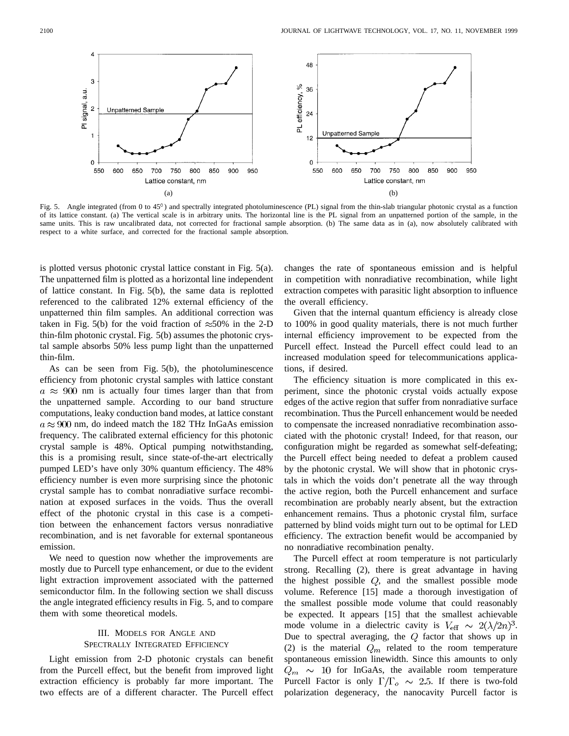Fig. 5. Angle integrated (from 0 to  $45^{\circ}$ ) and spectrally integrated photoluminescence (PL) signal from the thin-slab triangular photonic crystal as a function of its lattice constant. (a) The vertical scale is in arbitrary units. The horizontal line is the PL signal from an unpatterned portion of the sample, in the same units. This is raw uncalibrated data, not corrected for fractional sample absorption. (b) The same data as in (a), now absolutely calibrated with respect to a white surface, and corrected for the fractional sample absorption.

is plotted versus photonic crystal lattice constant in Fig. 5(a). The unpatterned film is plotted as a horizontal line independent of lattice constant. In Fig. 5(b), the same data is replotted referenced to the calibrated 12% external efficiency of the unpatterned thin film samples. An additional correction was taken in Fig. 5(b) for the void fraction of  $\approx$ 50% in the 2-D thin-film photonic crystal. Fig. 5(b) assumes the photonic crystal sample absorbs 50% less pump light than the unpatterned thin-film.

As can be seen from Fig. 5(b), the photoluminescence efficiency from photonic crystal samples with lattice constant  $a \approx 900$  nm is actually four times larger than that from the unpatterned sample. According to our band structure computations, leaky conduction band modes, at lattice constant  $a \approx 900$  nm, do indeed match the 182 THz InGaAs emission frequency. The calibrated external efficiency for this photonic crystal sample is 48%. Optical pumping notwithstanding, this is a promising result, since state-of-the-art electrically pumped LED's have only 30% quantum efficiency. The 48% efficiency number is even more surprising since the photonic crystal sample has to combat nonradiative surface recombination at exposed surfaces in the voids. Thus the overall effect of the photonic crystal in this case is a competition between the enhancement factors versus nonradiative recombination, and is net favorable for external spontaneous emission.

We need to question now whether the improvements are mostly due to Purcell type enhancement, or due to the evident light extraction improvement associated with the patterned semiconductor film. In the following section we shall discuss the angle integrated efficiency results in Fig. 5, and to compare them with some theoretical models.

# III. MODELS FOR ANGLE AND SPECTRALLY INTEGRATED EFFICIENCY

Light emission from 2-D photonic crystals can benefit from the Purcell effect, but the benefit from improved light extraction efficiency is probably far more important. The two effects are of a different character. The Purcell effect changes the rate of spontaneous emission and is helpful in competition with nonradiative recombination, while light extraction competes with parasitic light absorption to influence the overall efficiency.

Given that the internal quantum efficiency is already close to 100% in good quality materials, there is not much further internal efficiency improvement to be expected from the Purcell effect. Instead the Purcell effect could lead to an increased modulation speed for telecommunications applications, if desired.

The efficiency situation is more complicated in this experiment, since the photonic crystal voids actually expose edges of the active region that suffer from nonradiative surface recombination. Thus the Purcell enhancement would be needed to compensate the increased nonradiative recombination associated with the photonic crystal! Indeed, for that reason, our configuration might be regarded as somewhat self-defeating; the Purcell effect being needed to defeat a problem caused by the photonic crystal. We will show that in photonic crystals in which the voids don't penetrate all the way through the active region, both the Purcell enhancement and surface recombination are probably nearly absent, but the extraction enhancement remains. Thus a photonic crystal film, surface patterned by blind voids might turn out to be optimal for LED efficiency. The extraction benefit would be accompanied by no nonradiative recombination penalty.

The Purcell effect at room temperature is not particularly strong. Recalling (2), there is great advantage in having the highest possible  $Q$ , and the smallest possible mode volume. Reference [15] made a thorough investigation of the smallest possible mode volume that could reasonably be expected. It appears [15] that the smallest achievable mode volume in a dielectric cavity is  $V_{\text{eff}} \sim 2(\lambda/2n)^3$ . Due to spectral averaging, the  $Q$  factor that shows up in (2) is the material  $Q_m$  related to the room temperature spontaneous emission linewidth. Since this amounts to only  $Q_m \sim 10$  for InGaAs, the available room temperature Purcell Factor is only  $\Gamma/\Gamma_o \sim 2.5$ . If there is two-fold polarization degeneracy, the nanocavity Purcell factor is

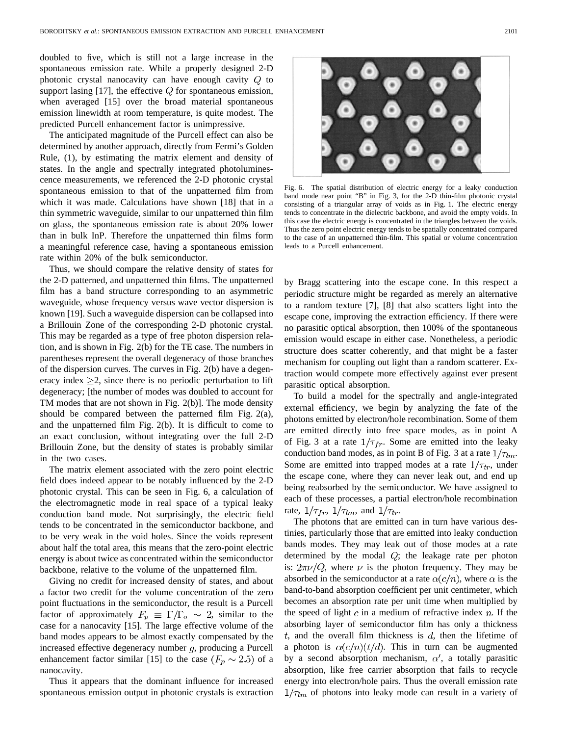doubled to five, which is still not a large increase in the spontaneous emission rate. While a properly designed 2-D photonic crystal nanocavity can have enough cavity  $Q$  to support lasing  $[17]$ , the effective  $Q$  for spontaneous emission, when averaged [15] over the broad material spontaneous emission linewidth at room temperature, is quite modest. The predicted Purcell enhancement factor is unimpressive.

The anticipated magnitude of the Purcell effect can also be determined by another approach, directly from Fermi's Golden Rule, (1), by estimating the matrix element and density of states. In the angle and spectrally integrated photoluminescence measurements, we referenced the 2-D photonic crystal spontaneous emission to that of the unpatterned film from which it was made. Calculations have shown [18] that in a thin symmetric waveguide, similar to our unpatterned thin film on glass, the spontaneous emission rate is about 20% lower than in bulk InP. Therefore the unpatterned thin films form a meaningful reference case, having a spontaneous emission rate within 20% of the bulk semiconductor.

Thus, we should compare the relative density of states for the 2-D patterned, and unpatterned thin films. The unpatterned film has a band structure corresponding to an asymmetric waveguide, whose frequency versus wave vector dispersion is known [19]. Such a waveguide dispersion can be collapsed into a Brillouin Zone of the corresponding 2-D photonic crystal. This may be regarded as a type of free photon dispersion relation, and is shown in Fig. 2(b) for the TE case. The numbers in parentheses represent the overall degeneracy of those branches of the dispersion curves. The curves in Fig. 2(b) have a degeneracy index  $\geq 2$ , since there is no periodic perturbation to lift degeneracy; [the number of modes was doubled to account for TM modes that are not shown in Fig. 2(b)]. The mode density should be compared between the patterned film Fig. 2(a), and the unpatterned film Fig. 2(b). It is difficult to come to an exact conclusion, without integrating over the full 2-D Brillouin Zone, but the density of states is probably similar in the two cases.

The matrix element associated with the zero point electric field does indeed appear to be notably influenced by the 2-D photonic crystal. This can be seen in Fig. 6, a calculation of the electromagnetic mode in real space of a typical leaky conduction band mode. Not surprisingly, the electric field tends to be concentrated in the semiconductor backbone, and to be very weak in the void holes. Since the voids represent about half the total area, this means that the zero-point electric energy is about twice as concentrated within the semiconductor backbone, relative to the volume of the unpatterned film.

Giving no credit for increased density of states, and about a factor two credit for the volume concentration of the zero point fluctuations in the semiconductor, the result is a Purcell factor of approximately  $F_p \equiv \Gamma/\Gamma_o \sim 2$ , similar to the case for a nanocavity [15]. The large effective volume of the band modes appears to be almost exactly compensated by the increased effective degeneracy number  $g$ , producing a Purcell enhancement factor similar [15] to the case  $(F_p \sim 2.5)$  of a nanocavity.

Thus it appears that the dominant influence for increased spontaneous emission output in photonic crystals is extraction



Fig. 6. The spatial distribution of electric energy for a leaky conduction band mode near point "B" in Fig. 3, for the 2-D thin-film photonic crystal consisting of a triangular array of voids as in Fig. 1. The electric energy tends to concentrate in the dielectric backbone, and avoid the empty voids. In this case the electric energy is concentrated in the triangles between the voids. Thus the zero point electric energy tends to be spatially concentrated compared to the case of an unpatterned thin-film. This spatial or volume concentration leads to a Purcell enhancement.

by Bragg scattering into the escape cone. In this respect a periodic structure might be regarded as merely an alternative to a random texture [7], [8] that also scatters light into the escape cone, improving the extraction efficiency. If there were no parasitic optical absorption, then 100% of the spontaneous emission would escape in either case. Nonetheless, a periodic structure does scatter coherently, and that might be a faster mechanism for coupling out light than a random scatterer. Extraction would compete more effectively against ever present parasitic optical absorption.

To build a model for the spectrally and angle-integrated external efficiency, we begin by analyzing the fate of the photons emitted by electron/hole recombination. Some of them are emitted directly into free space modes, as in point A of Fig. 3 at a rate  $1/\tau_{fr}$ . Some are emitted into the leaky conduction band modes, as in point B of Fig. 3 at a rate  $1/\tau_{lm}$ . Some are emitted into trapped modes at a rate  $1/\tau_{tr}$ , under the escape cone, where they can never leak out, and end up being reabsorbed by the semiconductor. We have assigned to each of these processes, a partial electron/hole recombination rate,  $1/\tau_{fr}$ ,  $1/\tau_{lm}$ , and  $1/\tau_{tr}$ .

The photons that are emitted can in turn have various destinies, particularly those that are emitted into leaky conduction bands modes. They may leak out of those modes at a rate determined by the modal  $Q$ ; the leakage rate per photon is:  $2\pi \nu/Q$ , where  $\nu$  is the photon frequency. They may be absorbed in the semiconductor at a rate  $\alpha(c/n)$ , where  $\alpha$  is the band-to-band absorption coefficient per unit centimeter, which becomes an absorption rate per unit time when multiplied by the speed of light  $c$  in a medium of refractive index  $n$ . If the absorbing layer of semiconductor film has only a thickness  $t$ , and the overall film thickness is  $d$ , then the lifetime of a photon is  $\alpha(c/n)(t/d)$ . This in turn can be augmented by a second absorption mechanism,  $\alpha'$ , a totally parasitic absorption, like free carrier absorption that fails to recycle energy into electron/hole pairs. Thus the overall emission rate  $1/\tau_{lm}$  of photons into leaky mode can result in a variety of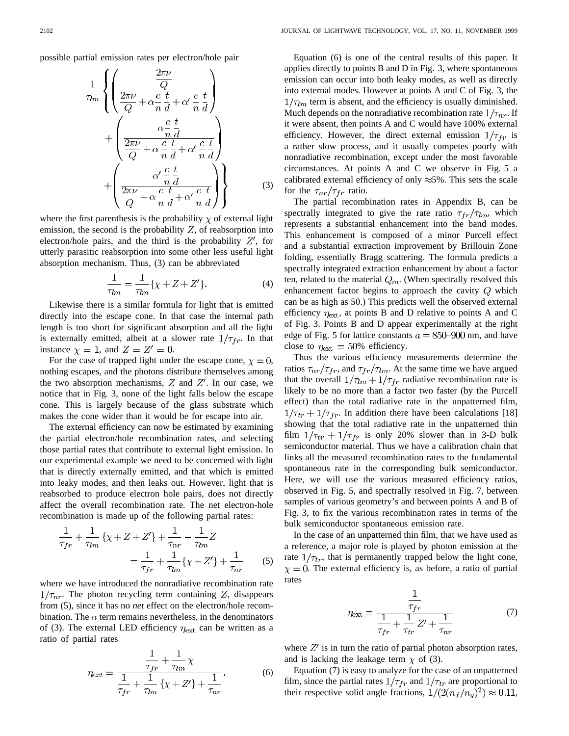possible partial emission rates per electron/hole pair

$$
\frac{1}{\tau_{lm}} \left\{ \left( \frac{\frac{2\pi\nu}{Q}}{\frac{2\pi\nu}{Q} + \alpha \frac{c}{n} \frac{t}{d} + \alpha' \frac{c}{n} \frac{t}{d}} \right) + \left( \frac{\alpha \frac{c}{n} \frac{t}{d}}{\frac{2\pi\nu}{Q} + \alpha \frac{c}{n} \frac{t}{d} + \alpha' \frac{c}{n} \frac{t}{d}} \right) + \left( \frac{\alpha' \frac{c}{n} \frac{t}{d}}{\frac{2\pi\nu}{Q} + \alpha \frac{c}{n} \frac{t}{d} + \alpha' \frac{c}{n} \frac{t}{d}} \right) \right\}
$$
(3)

where the first parenthesis is the probability  $\chi$  of external light emission, the second is the probability  $Z$ , of reabsorption into electron/hole pairs, and the third is the probability  $Z'$ , for utterly parasitic reabsorption into some other less useful light absorption mechanism. Thus, (3) can be abbreviated

$$
\frac{1}{\tau_{lm}} = \frac{1}{\tau_{lm}} \{ \chi + Z + Z' \}.
$$
 (4)

Likewise there is a similar formula for light that is emitted directly into the escape cone. In that case the internal path length is too short for significant absorption and all the light is externally emitted, albeit at a slower rate  $1/\tau_{fr}$ . In that instance  $\chi = 1$ , and  $Z = Z' = 0$ .

For the case of trapped light under the escape cone,  $\chi = 0$ , nothing escapes, and the photons distribute themselves among the two absorption mechanisms,  $Z$  and  $Z'$ . In our case, we notice that in Fig. 3, none of the light falls below the escape cone. This is largely because of the glass substrate which makes the cone wider than it would be for escape into air.

The external efficiency can now be estimated by examining the partial electron/hole recombination rates, and selecting those partial rates that contribute to external light emission. In our experimental example we need to be concerned with light that is directly externally emitted, and that which is emitted into leaky modes, and then leaks out. However, light that is reabsorbed to produce electron hole pairs, does not directly affect the overall recombination rate. The net electron-hole recombination is made up of the following partial rates:

$$
\frac{1}{\tau_{fr}} + \frac{1}{\tau_{lm}} \{ \chi + Z + Z' \} + \frac{1}{\tau_{nr}} - \frac{1}{\tau_{lm}} Z
$$

$$
= \frac{1}{\tau_{fr}} + \frac{1}{\tau_{lm}} \{ \chi + Z' \} + \frac{1}{\tau_{nr}} \tag{5}
$$

where we have introduced the nonradiative recombination rate  $1/\tau_{nr}$ . The photon recycling term containing Z, disappears from (5), since it has no *net* effect on the electron/hole recombination. The  $\alpha$  term remains nevertheless, in the denominators of (3). The external LED efficiency  $\eta_{\text{ext}}$  can be written as a ratio of partial rates

$$
\eta_{ext} = \frac{\frac{1}{\tau_{fr}} + \frac{1}{\tau_{lm}} \chi}{\frac{1}{\tau_{fr}} + \frac{1}{\tau_{lm}} \{ \chi + Z' \} + \frac{1}{\tau_{nr}}}.
$$
(6)

Equation (6) is one of the central results of this paper. It applies directly to points B and D in Fig. 3, where spontaneous emission can occur into both leaky modes, as well as directly into external modes. However at points A and C of Fig. 3, the  $1/\tau_{lm}$  term is absent, and the efficiency is usually diminished. Much depends on the nonradiative recombination rate  $1/\tau_{nr}$ . If it were absent, then points A and C would have 100% external efficiency. However, the direct external emission  $1/\tau_{fr}$  is a rather slow process, and it usually competes poorly with nonradiative recombination, except under the most favorable circumstances. At points A and C we observe in Fig. 5 a calibrated external efficiency of only  $\approx$ 5%. This sets the scale for the  $\tau_{nr}/\tau_{fr}$  ratio.

The partial recombination rates in Appendix B, can be spectrally integrated to give the rate ratio  $\tau_{fr}/\tau_{lm}$ , which represents a substantial enhancement into the band modes. This enhancement is composed of a minor Purcell effect and a substantial extraction improvement by Brillouin Zone folding, essentially Bragg scattering. The formula predicts a spectrally integrated extraction enhancement by about a factor ten, related to the material  $Q_m$ . (When spectrally resolved this enhancement factor begins to approach the cavity  $Q$  which can be as high as 50.) This predicts well the observed external efficiency  $\eta_{\text{ext}}$ , at points B and D relative to points A and C of Fig. 3. Points B and D appear experimentally at the right edge of Fig. 5 for lattice constants  $a = 850{\text -}900$  nm, and have close to  $\eta_{\text{ext}} = 50\%$  efficiency.

Thus the various efficiency measurements determine the ratios  $\tau_{nr}/\tau_{fr}$ , and  $\tau_{fr}/\tau_{lm}$ . At the same time we have argued that the overall  $1/\tau_{lm} + 1/\tau_{fr}$  radiative recombination rate is likely to be no more than a factor two faster (by the Purcell effect) than the total radiative rate in the unpatterned film,  $1/\tau_{tr} + 1/\tau_{fr}$ . In addition there have been calculations [18] showing that the total radiative rate in the unpatterned thin film  $1/\tau_{tr} + 1/\tau_{fr}$  is only 20% slower than in 3-D bulk semiconductor material. Thus we have a calibration chain that links all the measured recombination rates to the fundamental spontaneous rate in the corresponding bulk semiconductor. Here, we will use the various measured efficiency ratios, observed in Fig. 5, and spectrally resolved in Fig. 7, between samples of various geometry's and between points A and B of Fig. 3, to fix the various recombination rates in terms of the bulk semiconductor spontaneous emission rate.

In the case of an unpatterned thin film, that we have used as a reference, a major role is played by photon emission at the rate  $1/\tau_{tr}$ , that is permanently trapped below the light cone,  $\chi = 0$ . The external efficiency is, as before, a ratio of partial rates

$$
\eta_{\text{ext}} = \frac{\frac{1}{\tau_{fr}}}{\frac{1}{\tau_{fr}} + \frac{1}{\tau_{tr}} Z' + \frac{1}{\tau_{nr}}} \tag{7}
$$

where  $Z'$  is in turn the ratio of partial photon absorption rates, and is lacking the leakage term  $\chi$  of (3).

Equation (7) is easy to analyze for the case of an unpatterned film, since the partial rates  $1/\tau_{fr}$  and  $1/\tau_{tr}$  are proportional to their respective solid angle fractions,  $1/(2(n_f/n_g)^2) \approx 0.11$ ,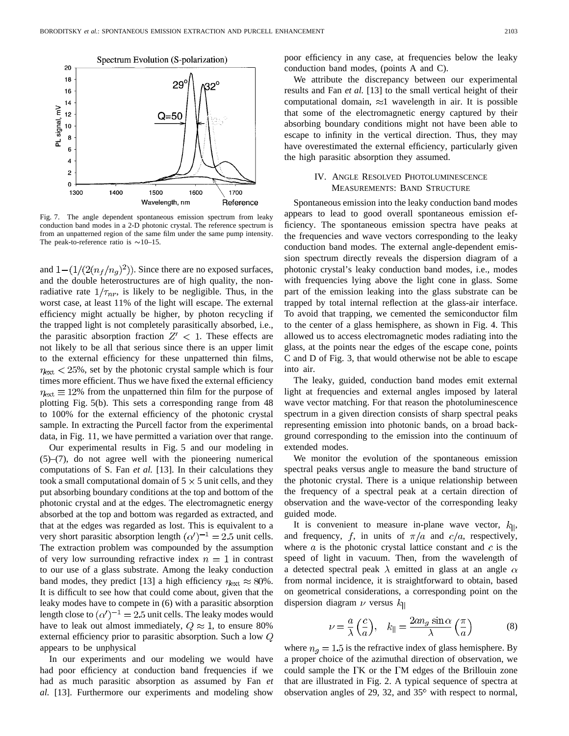

Fig. 7. The angle dependent spontaneous emission spectrum from leaky conduction band modes in a 2-D photonic crystal. The reference spectrum is from an unpatterned region of the same film under the same pump intensity. The peak-to-reference ratio is  $\sim$  10–15.

and  $1 - (1/(2(n_f/n_g)^2))$ . Since there are no exposed surfaces, and the double heterostructures are of high quality, the nonradiative rate  $1/\tau_{nr}$ , is likely to be negligible. Thus, in the worst case, at least 11% of the light will escape. The external efficiency might actually be higher, by photon recycling if the trapped light is not completely parasitically absorbed, i.e., the parasitic absorption fraction  $Z' < 1$ . These effects are not likely to be all that serious since there is an upper limit to the external efficiency for these unpatterned thin films,  $\eta_{\text{ext}}$  < 25%, set by the photonic crystal sample which is four times more efficient. Thus we have fixed the external efficiency  $\eta_{\text{ext}} \equiv 12\%$  from the unpatterned thin film for the purpose of plotting Fig. 5(b). This sets a corresponding range from 48 to 100% for the external efficiency of the photonic crystal sample. In extracting the Purcell factor from the experimental data, in Fig. 11, we have permitted a variation over that range.

Our experimental results in Fig. 5 and our modeling in (5)–(7), do not agree well with the pioneering numerical computations of S. Fan *et al.* [13]. In their calculations they took a small computational domain of  $5 \times 5$  unit cells, and they put absorbing boundary conditions at the top and bottom of the photonic crystal and at the edges. The electromagnetic energy absorbed at the top and bottom was regarded as extracted, and that at the edges was regarded as lost. This is equivalent to a very short parasitic absorption length  $(\alpha')^{-1} = 2.5$  unit cells. The extraction problem was compounded by the assumption of very low surrounding refractive index  $n = 1$  in contrast to our use of a glass substrate. Among the leaky conduction band modes, they predict [13] a high efficiency  $\eta_{\text{ext}} \approx 80\%$ . It is difficult to see how that could come about, given that the leaky modes have to compete in (6) with a parasitic absorption length close to  $(\alpha')^{-1} = 2.5$  unit cells. The leaky modes would have to leak out almost immediately,  $Q \approx 1$ , to ensure 80% external efficiency prior to parasitic absorption. Such a low  $Q$ appears to be unphysical

In our experiments and our modeling we would have had poor efficiency at conduction band frequencies if we had as much parasitic absorption as assumed by Fan *et al.* [13]. Furthermore our experiments and modeling show poor efficiency in any case, at frequencies below the leaky conduction band modes, (points A and C).

We attribute the discrepancy between our experimental results and Fan *et al.* [13] to the small vertical height of their computational domain,  $\approx$ 1 wavelength in air. It is possible that some of the electromagnetic energy captured by their absorbing boundary conditions might not have been able to escape to infinity in the vertical direction. Thus, they may have overestimated the external efficiency, particularly given the high parasitic absorption they assumed.

# IV. ANGLE RESOLVED PHOTOLUMINESCENCE MEASUREMENTS: BAND STRUCTURE

Spontaneous emission into the leaky conduction band modes appears to lead to good overall spontaneous emission efficiency. The spontaneous emission spectra have peaks at the frequencies and wave vectors corresponding to the leaky conduction band modes. The external angle-dependent emission spectrum directly reveals the dispersion diagram of a photonic crystal's leaky conduction band modes, i.e., modes with frequencies lying above the light cone in glass. Some part of the emission leaking into the glass substrate can be trapped by total internal reflection at the glass-air interface. To avoid that trapping, we cemented the semiconductor film to the center of a glass hemisphere, as shown in Fig. 4. This allowed us to access electromagnetic modes radiating into the glass, at the points near the edges of the escape cone, points C and D of Fig. 3, that would otherwise not be able to escape into air.

The leaky, guided, conduction band modes emit external light at frequencies and external angles imposed by lateral wave vector matching. For that reason the photoluminescence spectrum in a given direction consists of sharp spectral peaks representing emission into photonic bands, on a broad background corresponding to the emission into the continuum of extended modes.

We monitor the evolution of the spontaneous emission spectral peaks versus angle to measure the band structure of the photonic crystal. There is a unique relationship between the frequency of a spectral peak at a certain direction of observation and the wave-vector of the corresponding leaky guided mode.

It is convenient to measure in-plane wave vector,  $k_{\parallel}$ , and frequency, f, in units of  $\pi/a$  and  $c/a$ , respectively, where  $a$  is the photonic crystal lattice constant and  $c$  is the speed of light in vacuum. Then, from the wavelength of a detected spectral peak  $\lambda$  emitted in glass at an angle  $\alpha$ from normal incidence, it is straightforward to obtain, based on geometrical considerations, a corresponding point on the dispersion diagram  $\nu$  versus  $k_{\parallel}$ 

$$
\nu = \frac{a}{\lambda} \left( \frac{c}{a} \right), \quad k_{\parallel} = \frac{2a n_g \sin \alpha}{\lambda} \left( \frac{\pi}{a} \right) \tag{8}
$$

where  $n<sub>g</sub> = 1.5$  is the refractive index of glass hemisphere. By a proper choice of the azimuthal direction of observation, we could sample the  $\Gamma K$  or the  $\Gamma M$  edges of the Brillouin zone that are illustrated in Fig. 2. A typical sequence of spectra at observation angles of 29, 32, and  $35^{\circ}$  with respect to normal,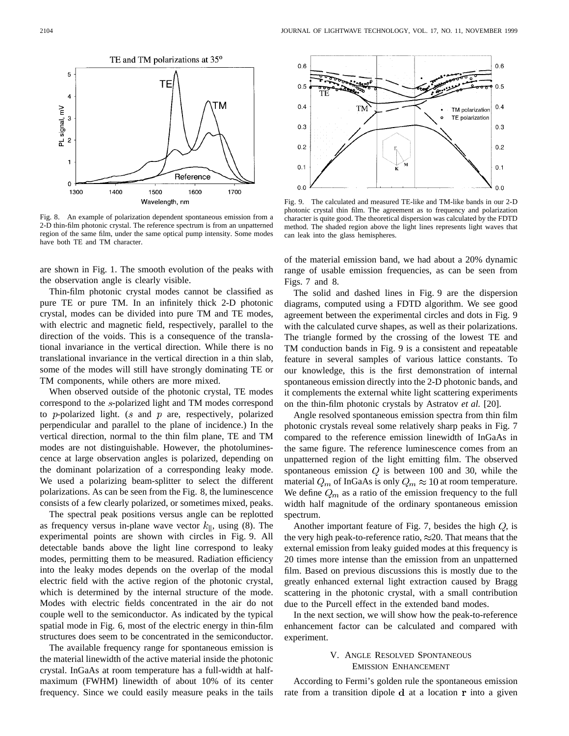

Fig. 8. An example of polarization dependent spontaneous emission from a 2-D thin-film photonic crystal. The reference spectrum is from an unpatterned region of the same film, under the same optical pump intensity. Some modes have both TE and TM character.

are shown in Fig. 1. The smooth evolution of the peaks with the observation angle is clearly visible.

Thin-film photonic crystal modes cannot be classified as pure TE or pure TM. In an infinitely thick 2-D photonic crystal, modes can be divided into pure TM and TE modes, with electric and magnetic field, respectively, parallel to the direction of the voids. This is a consequence of the translational invariance in the vertical direction. While there is no translational invariance in the vertical direction in a thin slab, some of the modes will still have strongly dominating TE or TM components, while others are more mixed.

When observed outside of the photonic crystal, TE modes correspond to the s-polarized light and TM modes correspond to  $p$ -polarized light. ( $s$  and  $p$  are, respectively, polarized perpendicular and parallel to the plane of incidence.) In the vertical direction, normal to the thin film plane, TE and TM modes are not distinguishable. However, the photoluminescence at large observation angles is polarized, depending on the dominant polarization of a corresponding leaky mode. We used a polarizing beam-splitter to select the different polarizations. As can be seen from the Fig. 8, the luminescence consists of a few clearly polarized, or sometimes mixed, peaks.

The spectral peak positions versus angle can be replotted as frequency versus in-plane wave vector  $k_{\parallel}$ , using (8). The experimental points are shown with circles in Fig. 9. All detectable bands above the light line correspond to leaky modes, permitting them to be measured. Radiation efficiency into the leaky modes depends on the overlap of the modal electric field with the active region of the photonic crystal, which is determined by the internal structure of the mode. Modes with electric fields concentrated in the air do not couple well to the semiconductor. As indicated by the typical spatial mode in Fig. 6, most of the electric energy in thin-film structures does seem to be concentrated in the semiconductor.

The available frequency range for spontaneous emission is the material linewidth of the active material inside the photonic crystal. InGaAs at room temperature has a full-width at halfmaximum (FWHM) linewidth of about 10% of its center frequency. Since we could easily measure peaks in the tails



Fig. 9. The calculated and measured TE-like and TM-like bands in our 2-D photonic crystal thin film. The agreement as to frequency and polarization character is quite good. The theoretical dispersion was calculated by the FDTD method. The shaded region above the light lines represents light waves that can leak into the glass hemispheres.

of the material emission band, we had about a 20% dynamic range of usable emission frequencies, as can be seen from Figs. 7 and 8.

The solid and dashed lines in Fig. 9 are the dispersion diagrams, computed using a FDTD algorithm. We see good agreement between the experimental circles and dots in Fig. 9 with the calculated curve shapes, as well as their polarizations. The triangle formed by the crossing of the lowest TE and TM conduction bands in Fig. 9 is a consistent and repeatable feature in several samples of various lattice constants. To our knowledge, this is the first demonstration of internal spontaneous emission directly into the 2-D photonic bands, and it complements the external white light scattering experiments on the thin-film photonic crystals by Astratov *et al.* [20].

Angle resolved spontaneous emission spectra from thin film photonic crystals reveal some relatively sharp peaks in Fig. 7 compared to the reference emission linewidth of InGaAs in the same figure. The reference luminescence comes from an unpatterned region of the light emitting film. The observed spontaneous emission  $Q$  is between 100 and 30, while the material  $Q_m$  of InGaAs is only  $Q_m \approx 10$  at room temperature. We define  $Q_m$  as a ratio of the emission frequency to the full width half magnitude of the ordinary spontaneous emission spectrum.

Another important feature of Fig. 7, besides the high  $Q$ , is the very high peak-to-reference ratio,  $\approx$  20. That means that the external emission from leaky guided modes at this frequency is 20 times more intense than the emission from an unpatterned film. Based on previous discussions this is mostly due to the greatly enhanced external light extraction caused by Bragg scattering in the photonic crystal, with a small contribution due to the Purcell effect in the extended band modes.

In the next section, we will show how the peak-to-reference enhancement factor can be calculated and compared with experiment.

# V. ANGLE RESOLVED SPONTANEOUS EMISSION ENHANCEMENT

According to Fermi's golden rule the spontaneous emission rate from a transition dipole  $\bf d$  at a location  $\bf r$  into a given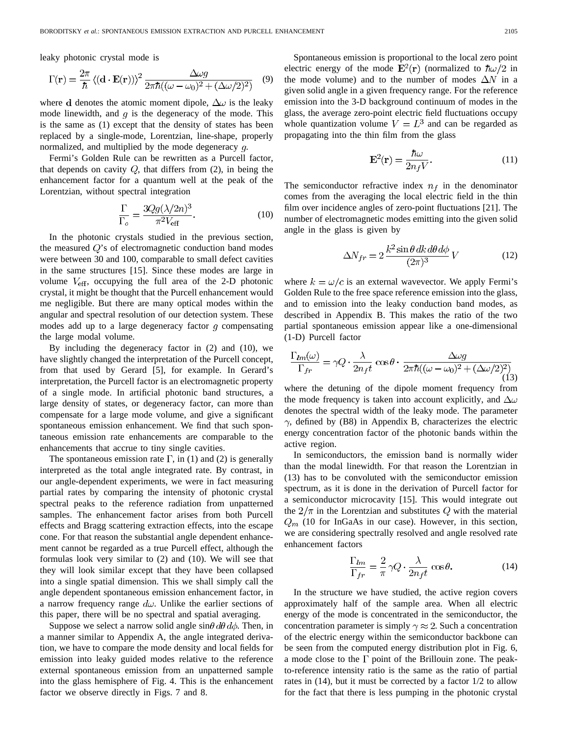leaky photonic crystal mode is

$$
\Gamma(\mathbf{r}) = \frac{2\pi}{\hbar} \left\langle (\mathbf{d} \cdot \mathbf{E}(\mathbf{r})) \right\rangle^2 \frac{\Delta \omega g}{2\pi \hbar ((\omega - \omega_0)^2 + (\Delta \omega/2)^2)} \quad (9)
$$

where d denotes the atomic moment dipole,  $\Delta\omega$  is the leaky mode linewidth, and  $q$  is the degeneracy of the mode. This is the same as (1) except that the density of states has been replaced by a single-mode, Lorentzian, line-shape, properly normalized, and multiplied by the mode degeneracy  $q$ .

Fermi's Golden Rule can be rewritten as a Purcell factor, that depends on cavity  $Q$ , that differs from  $(2)$ , in being the enhancement factor for a quantum well at the peak of the Lorentzian, without spectral integration

$$
\frac{\Gamma}{\Gamma_o} = \frac{3Qg(\lambda/2n)^3}{\pi^2 V_{\text{eff}}}.
$$
\n(10)

In the photonic crystals studied in the previous section, the measured  $Q$ 's of electromagnetic conduction band modes were between 30 and 100, comparable to small defect cavities in the same structures [15]. Since these modes are large in volume  $V_{\text{eff}}$ , occupying the full area of the 2-D photonic crystal, it might be thought that the Purcell enhancement would me negligible. But there are many optical modes within the angular and spectral resolution of our detection system. These modes add up to a large degeneracy factor  $q$  compensating the large modal volume.

By including the degeneracy factor in (2) and (10), we have slightly changed the interpretation of the Purcell concept, from that used by Gerard [5], for example. In Gerard's interpretation, the Purcell factor is an electromagnetic property of a single mode. In artificial photonic band structures, a large density of states, or degeneracy factor, can more than compensate for a large mode volume, and give a significant spontaneous emission enhancement. We find that such spontaneous emission rate enhancements are comparable to the enhancements that accrue to tiny single cavities.

The spontaneous emission rate  $\Gamma$ , in (1) and (2) is generally interpreted as the total angle integrated rate. By contrast, in our angle-dependent experiments, we were in fact measuring partial rates by comparing the intensity of photonic crystal spectral peaks to the reference radiation from unpatterned samples. The enhancement factor arises from both Purcell effects and Bragg scattering extraction effects, into the escape cone. For that reason the substantial angle dependent enhancement cannot be regarded as a true Purcell effect, although the formulas look very similar to (2) and (10). We will see that they will look similar except that they have been collapsed into a single spatial dimension. This we shall simply call the angle dependent spontaneous emission enhancement factor, in a narrow frequency range  $d\omega$ . Unlike the earlier sections of this paper, there will be no spectral and spatial averaging.

Suppose we select a narrow solid angle  $\sin\theta d\theta d\phi$ . Then, in a manner similar to Appendix A, the angle integrated derivation, we have to compare the mode density and local fields for emission into leaky guided modes relative to the reference external spontaneous emission from an unpatterned sample into the glass hemisphere of Fig. 4. This is the enhancement factor we observe directly in Figs. 7 and 8.

Spontaneous emission is proportional to the local zero point electric energy of the mode  $\mathbf{E}^2(\mathbf{r})$  (normalized to  $\hbar \omega/2$  in the mode volume) and to the number of modes  $\Delta N$  in a given solid angle in a given frequency range. For the reference emission into the 3-D background continuum of modes in the glass, the average zero-point electric field fluctuations occupy whole quantization volume  $V = L<sup>3</sup>$  and can be regarded as propagating into the thin film from the glass

$$
\mathbf{E}^2(\mathbf{r}) = \frac{\hbar\omega}{2n_fV}.\tag{11}
$$

The semiconductor refractive index  $n_f$  in the denominator comes from the averaging the local electric field in the thin film over incidence angles of zero-point fluctuations [21]. The number of electromagnetic modes emitting into the given solid angle in the glass is given by

$$
\Delta N_{fr} = 2 \frac{k^2 \sin \theta \, dk \, d\theta \, d\phi}{(2\pi)^3} \, V \tag{12}
$$

where  $k = \omega/c$  is an external wavevector. We apply Fermi's Golden Rule to the free space reference emission into the glass, and to emission into the leaky conduction band modes, as described in Appendix B. This makes the ratio of the two partial spontaneous emission appear like a one-dimensional (1-D) Purcell factor

$$
\frac{\Gamma_{lm}(\omega)}{\Gamma_{fr}} = \gamma Q \cdot \frac{\lambda}{2n_f t} \cos \theta \cdot \frac{\Delta \omega g}{2\pi \hbar ((\omega - \omega_0)^2 + (\Delta \omega/2)^2)} \tag{13}
$$

where the detuning of the dipole moment frequency from the mode frequency is taken into account explicitly, and  $\Delta\omega$ denotes the spectral width of the leaky mode. The parameter  $\gamma$ , defined by (B8) in Appendix B, characterizes the electric energy concentration factor of the photonic bands within the active region.

In semiconductors, the emission band is normally wider than the modal linewidth. For that reason the Lorentzian in (13) has to be convoluted with the semiconductor emission spectrum, as it is done in the derivation of Purcell factor for a semiconductor microcavity [15]. This would integrate out the  $2/\pi$  in the Lorentzian and substitutes Q with the material  $Q_m$  (10 for InGaAs in our case). However, in this section, we are considering spectrally resolved and angle resolved rate enhancement factors

$$
\frac{\Gamma_{lm}}{\Gamma_{fr}} = \frac{2}{\pi} \gamma Q \cdot \frac{\lambda}{2n_f t} \cos \theta.
$$
 (14)

In the structure we have studied, the active region covers approximately half of the sample area. When all electric energy of the mode is concentrated in the semiconductor, the concentration parameter is simply  $\gamma \approx 2$ . Such a concentration of the electric energy within the semiconductor backbone can be seen from the computed energy distribution plot in Fig. 6, a mode close to the  $\Gamma$  point of the Brillouin zone. The peakto-reference intensity ratio is the same as the ratio of partial rates in (14), but it must be corrected by a factor 1/2 to allow for the fact that there is less pumping in the photonic crystal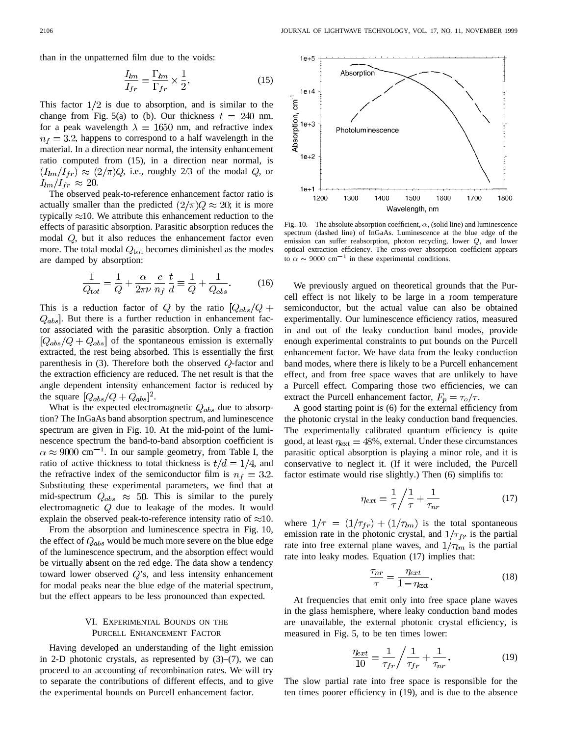than in the unpatterned film due to the voids:

$$
\frac{I_{lm}}{I_{fr}} = \frac{\Gamma_{lm}}{\Gamma_{fr}} \times \frac{1}{2}.
$$
\n(15)

This factor  $1/2$  is due to absorption, and is similar to the change from Fig. 5(a) to (b). Our thickness  $t = 240$  nm, for a peak wavelength  $\lambda = 1650$  nm, and refractive index  $n_f = 3.2$ , happens to correspond to a half wavelength in the material. In a direction near normal, the intensity enhancement ratio computed from (15), in a direction near normal, is  $(I_{lm}/I_{fr}) \approx (2/\pi)Q$ , i.e., roughly 2/3 of the modal Q, or  $I_{lm}/I_{fr} \approx 20.$ 

The observed peak-to-reference enhancement factor ratio is actually smaller than the predicted  $(2/\pi)Q \approx 20$ ; it is more typically  $\approx 10$ . We attribute this enhancement reduction to the effects of parasitic absorption. Parasitic absorption reduces the modal  $Q$ , but it also reduces the enhancement factor even more. The total modal  $Q_{\text{tot}}$  becomes diminished as the modes are damped by absorption:

$$
\frac{1}{Q_{tot}} = \frac{1}{Q} + \frac{\alpha}{2\pi\nu} \frac{c}{n_f} \frac{t}{d} \equiv \frac{1}{Q} + \frac{1}{Q_{abs}}.
$$
 (16)

This is a reduction factor of Q by the ratio  $[Q_{abs}/Q +$  $Q_{abs}$ . But there is a further reduction in enhancement factor associated with the parasitic absorption. Only a fraction  $[Q_{abs}/Q + Q_{abs}]$  of the spontaneous emission is externally extracted, the rest being absorbed. This is essentially the first parenthesis in  $(3)$ . Therefore both the observed  $Q$ -factor and the extraction efficiency are reduced. The net result is that the angle dependent intensity enhancement factor is reduced by the square  $[Q_{abs}/Q + Q_{abs}]^2$ .

What is the expected electromagnetic  $Q_{abs}$  due to absorption? The InGaAs band absorption spectrum, and luminescence spectrum are given in Fig. 10. At the mid-point of the luminescence spectrum the band-to-band absorption coefficient is  $\alpha \approx 9000$  cm<sup>-1</sup>. In our sample geometry, from Table I, the ratio of active thickness to total thickness is  $t/d = 1/4$ , and the refractive index of the semiconductor film is  $n_f = 3.2$ . Substituting these experimental parameters, we find that at mid-spectrum  $Q_{abs} \approx 50$ . This is similar to the purely electromagnetic  $Q$  due to leakage of the modes. It would explain the observed peak-to-reference intensity ratio of  $\approx 10$ .

From the absorption and luminescence spectra in Fig. 10, the effect of  $Q_{abs}$  would be much more severe on the blue edge of the luminescence spectrum, and the absorption effect would be virtually absent on the red edge. The data show a tendency toward lower observed  $Q$ 's, and less intensity enhancement for modal peaks near the blue edge of the material spectrum, but the effect appears to be less pronounced than expected.

## VI. EXPERIMENTAL BOUNDS ON THE PURCELL ENHANCEMENT FACTOR

Having developed an understanding of the light emission in 2-D photonic crystals, as represented by  $(3)$ – $(7)$ , we can proceed to an accounting of recombination rates. We will try to separate the contributions of different effects, and to give the experimental bounds on Purcell enhancement factor.



Fig. 10. The absolute absorption coefficient,  $\alpha$ , (solid line) and luminescence spectrum (dashed line) of InGaAs. Luminescence at the blue edge of the emission can suffer reabsorption, photon recycling, lower Q, and lower optical extraction efficiency. The cross-over absorption coefficient appears to  $\alpha \sim 9000 \text{ cm}^{-1}$  in these experimental conditions.

We previously argued on theoretical grounds that the Purcell effect is not likely to be large in a room temperature semiconductor, but the actual value can also be obtained experimentally. Our luminescence efficiency ratios, measured in and out of the leaky conduction band modes, provide enough experimental constraints to put bounds on the Purcell enhancement factor. We have data from the leaky conduction band modes, where there is likely to be a Purcell enhancement effect, and from free space waves that are unlikely to have a Purcell effect. Comparing those two efficiencies, we can extract the Purcell enhancement factor,  $F_p = \tau_o/\tau$ .

A good starting point is (6) for the external efficiency from the photonic crystal in the leaky conduction band frequencies. The experimentally calibrated quantum efficiency is quite good, at least  $\eta_{\text{ext}} = 48\%$ , external. Under these circumstances parasitic optical absorption is playing a minor role, and it is conservative to neglect it. (If it were included, the Purcell factor estimate would rise slightly.) Then (6) simplifis to:

$$
\eta_{ext} = \frac{1}{\tau} \bigg/ \frac{1}{\tau} + \frac{1}{\tau_{nr}} \tag{17}
$$

where  $1/\tau = (1/\tau_{fr}) + (1/\tau_{lm})$  is the total spontaneous emission rate in the photonic crystal, and  $1/\tau_{fr}$  is the partial rate into free external plane waves, and  $1/\tau_{lm}$  is the partial rate into leaky modes. Equation (17) implies that:

$$
\frac{\tau_{nr}}{\tau} = \frac{\eta_{ext}}{1 - \eta_{ext}}.\tag{18}
$$

At frequencies that emit only into free space plane waves in the glass hemisphere, where leaky conduction band modes are unavailable, the external photonic crystal efficiency, is measured in Fig. 5, to be ten times lower:

$$
\frac{\eta_{ext}}{10} = \frac{1}{\tau_{fr}} \bigg/ \frac{1}{\tau_{fr}} + \frac{1}{\tau_{nr}}.
$$
\n(19)

The slow partial rate into free space is responsible for the ten times poorer efficiency in (19), and is due to the absence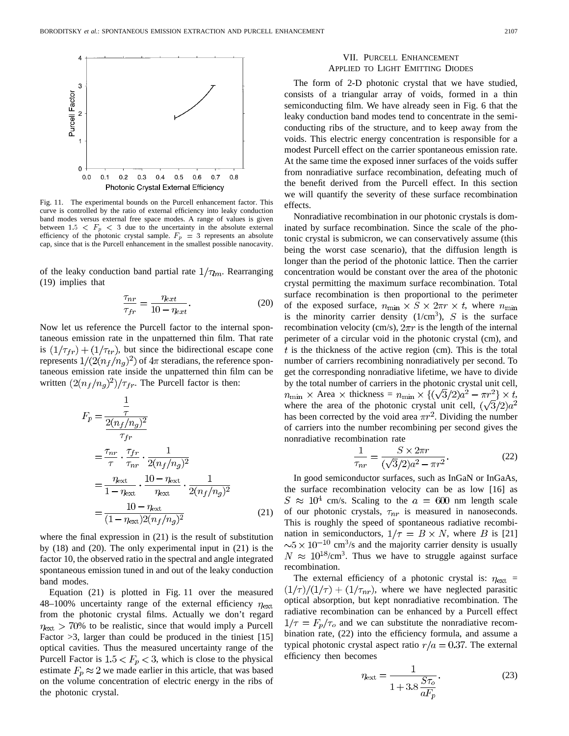

Fig. 11. The experimental bounds on the Purcell enhancement factor. This curve is controlled by the ratio of external efficiency into leaky conduction band modes versus external free space modes. A range of values is given between 1.5  $\langle F_p \rangle$   $\langle$  3 due to the uncertainty in the absolute external efficiency of the photonic crystal sample.  $F_p = 3$  represents an absolute cap, since that is the Purcell enhancement in the smallest possible nanocavity.

of the leaky conduction band partial rate  $1/\tau_{lm}$ . Rearranging (19) implies that

$$
\frac{\tau_{nr}}{\tau_{fr}} = \frac{\eta_{ext}}{10 - \eta_{ext}}.\tag{20}
$$

Now let us reference the Purcell factor to the internal spontaneous emission rate in the unpatterned thin film. That rate is  $(1/\tau_{fr}) + (1/\tau_{tr})$ , but since the bidirectional escape cone represents  $1/(2(n_f/n_g)^2)$  of  $4\pi$  steradians, the reference spontaneous emission rate inside the unpatterned thin film can be written  $\left(\frac{2(n_f/n_g)^2}{\tau_{fr}}\right)$ . The Purcell factor is then:

$$
F_p = \frac{\frac{1}{\tau}}{\frac{2(n_f/n_g)^2}{\tau_{fr}}} \n= \frac{\tau_{nr}}{\tau} \cdot \frac{\tau_{fr}}{\tau_{nr}} \cdot \frac{1}{2(n_f/n_g)^2} \n= \frac{\eta_{\text{ext}}}{1 - \eta_{\text{ext}}} \cdot \frac{10 - \eta_{\text{ext}}}{\eta_{\text{ext}}} \cdot \frac{1}{2(n_f/n_g)^2} \n= \frac{10 - \eta_{\text{ext}}}{(1 - \eta_{\text{ext}})2(n_f/n_g)^2}
$$
\n(21)

where the final expression in (21) is the result of substitution by (18) and (20). The only experimental input in (21) is the factor 10, the observed ratio in the spectral and angle integrated spontaneous emission tuned in and out of the leaky conduction band modes.

Equation (21) is plotted in Fig. 11 over the measured 48–100% uncertainty range of the external efficiency  $\eta_{\text{ext}}$ from the photonic crystal films. Actually we don't regard  $\eta_{\text{ext}} > 70\%$  to be realistic, since that would imply a Purcell Factor  $>3$ , larger than could be produced in the tiniest [15] optical cavities. Thus the measured uncertainty range of the Purcell Factor is  $1.5 < F_p < 3$ , which is close to the physical estimate  $F_p \approx 2$  we made earlier in this article, that was based on the volume concentration of electric energy in the ribs of the photonic crystal.

### VII. PURCELL ENHANCEMENT APPLIED TO LIGHT EMITTING DIODES

The form of 2-D photonic crystal that we have studied, consists of a triangular array of voids, formed in a thin semiconducting film. We have already seen in Fig. 6 that the leaky conduction band modes tend to concentrate in the semiconducting ribs of the structure, and to keep away from the voids. This electric energy concentration is responsible for a modest Purcell effect on the carrier spontaneous emission rate. At the same time the exposed inner surfaces of the voids suffer from nonradiative surface recombination, defeating much of the benefit derived from the Purcell effect. In this section we will quantify the severity of these surface recombination effects.

Nonradiative recombination in our photonic crystals is dominated by surface recombination. Since the scale of the photonic crystal is submicron, we can conservatively assume (this being the worst case scenario), that the diffusion length is longer than the period of the photonic lattice. Then the carrier concentration would be constant over the area of the photonic crystal permitting the maximum surface recombination. Total surface recombination is then proportional to the perimeter of the exposed surface,  $n_{\text{min}} \times S \times 2\pi r \times t$ , where  $n_{\text{min}}$ is the minority carrier density  $(1/cm<sup>3</sup>)$ , S is the surface recombination velocity (cm/s),  $2\pi r$  is the length of the internal perimeter of a circular void in the photonic crystal (cm), and  $t$  is the thickness of the active region (cm). This is the total number of carriers recombining nonradiatively per second. To get the corresponding nonradiative lifetime, we have to divide by the total number of carriers in the photonic crystal unit cell, Area  $\times$  thickness =  $n_{\text{min}} \times \{(\sqrt{3}/2)a^2 - \pi r^2\} \times t$ , where the area of the photonic crystal unit cell, has been corrected by the void area  $\pi r^2$ . Dividing the number of carriers into the number recombining per second gives the nonradiative recombination rate

$$
\frac{1}{\tau_{nr}} = \frac{S \times 2\pi r}{(\sqrt{3}/2)a^2 - \pi r^2}.
$$
\n(22)

In good semiconductor surfaces, such as InGaN or InGaAs, the surface recombination velocity can be as low [16] as  $S \approx 10^4$  cm/s. Scaling to the  $a = 600$  nm length scale of our photonic crystals,  $\tau_{nr}$  is measured in nanoseconds. This is roughly the speed of spontaneous radiative recombination in semiconductors,  $1/\tau = B \times N$ , where B is [21]  $\sim$  5  $\times$  10<sup>-10</sup> cm<sup>3</sup>/s and the majority carrier density is usually  $N \approx 10^{18}$ /cm<sup>3</sup>. Thus we have to struggle against surface recombination.

The external efficiency of a photonic crystal is:  $\eta_{\text{ext}}$  =  $(1/\tau)/(1/\tau) + (1/\tau_{nr})$ , where we have neglected parasitic optical absorption, but kept nonradiative recombination. The radiative recombination can be enhanced by a Purcell effect  $1/\tau = F_p/\tau_o$  and we can substitute the nonradiative recombination rate, (22) into the efficiency formula, and assume a typical photonic crystal aspect ratio  $r/a = 0.37$ . The external efficiency then becomes

$$
\eta_{\text{ext}} = \frac{1}{1 + 3.8 \frac{S \tau_o}{a F_p}}.
$$
\n(23)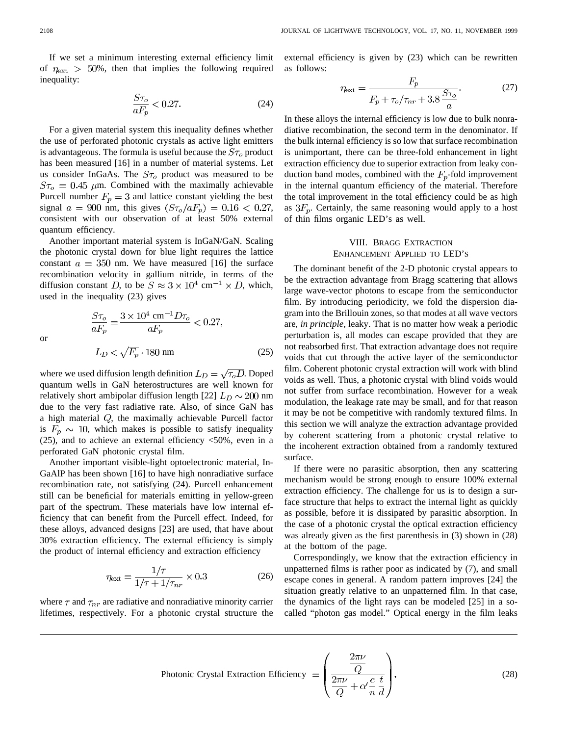If we set a minimum interesting external efficiency limit of  $\eta_{\text{ext}} > 50\%$ , then that implies the following required inequality:

$$
\frac{S\tau_o}{aF_p} < 0.27.\tag{24}
$$

For a given material system this inequality defines whether the use of perforated photonic crystals as active light emitters is advantageous. The formula is useful because the  $S_{\tau_o}$  product has been measured [16] in a number of material systems. Let us consider InGaAs. The  $S_{\tau_o}$  product was measured to be  $S\tau_o = 0.45$   $\mu$ m. Combined with the maximally achievable Purcell number  $F_p = 3$  and lattice constant yielding the best signal  $a = 900$  nm, this gives  $(S\tau_o/aF_p) = 0.16 < 0.27$ , consistent with our observation of at least 50% external quantum efficiency.

Another important material system is InGaN/GaN. Scaling the photonic crystal down for blue light requires the lattice constant  $a = 350$  nm. We have measured [16] the surface recombination velocity in gallium nitride, in terms of the diffusion constant D, to be  $S \approx 3 \times 10^4$  cm<sup>-1</sup>  $\times$  D, which, used in the inequality (23) gives

or

 $\mathbf{C}_{\mathbf{\tau}}$ 

$$
\frac{S\tau_o}{aF_p} = \frac{3 \times 10^4 \text{ cm}^{-1} D\tau_o}{aF_p} < 0.27,
$$
  

$$
L_D < \sqrt{F_p} \cdot 180 \text{ nm}
$$
 (25)

where we used diffusion length definition  $L_D = \sqrt{\tau_o D}$ . Doped quantum wells in GaN heterostructures are well known for relatively short ambipolar diffusion length [22]  $L_D \sim 200$  nm due to the very fast radiative rate. Also, of since GaN has a high material  $Q$ , the maximally achievable Purcell factor is  $F_p \sim 10$ , which makes is possible to satisfy inequality  $(25)$ , and to achieve an external efficiency  $\langle 50\%$ , even in a perforated GaN photonic crystal film.

Another important visible-light optoelectronic material, In-GaAlP has been shown [16] to have high nonradiative surface recombination rate, not satisfying (24). Purcell enhancement still can be beneficial for materials emitting in yellow-green part of the spectrum. These materials have low internal efficiency that can benefit from the Purcell effect. Indeed, for these alloys, advanced designs [23] are used, that have about 30% extraction efficiency. The external efficiency is simply the product of internal efficiency and extraction efficiency

$$
\eta_{\text{ext}} = \frac{1/\tau}{1/\tau + 1/\tau_{nr}} \times 0.3
$$
 (26)

where  $\tau$  and  $\tau_{nr}$  are radiative and nonradiative minority carrier lifetimes, respectively. For a photonic crystal structure the external efficiency is given by (23) which can be rewritten as follows:

$$
\eta_{\text{ext}} = \frac{F_p}{F_p + \tau_o/\tau_{nr} + 3.8 \frac{S\tau_o}{a}}.\tag{27}
$$

In these alloys the internal efficiency is low due to bulk nonradiative recombination, the second term in the denominator. If the bulk internal efficiency is so low that surface recombination is unimportant, there can be three-fold enhancement in light extraction efficiency due to superior extraction from leaky conduction band modes, combined with the  $F_p$ -fold improvement in the internal quantum efficiency of the material. Therefore the total improvement in the total efficiency could be as high as  $3F_p$ . Certainly, the same reasoning would apply to a host of thin films organic LED's as well.

# VIII. BRAGG EXTRACTION ENHANCEMENT APPLIED TO LED'S

The dominant benefit of the 2-D photonic crystal appears to be the extraction advantage from Bragg scattering that allows large wave-vector photons to escape from the semiconductor film. By introducing periodicity, we fold the dispersion diagram into the Brillouin zones, so that modes at all wave vectors are, *in principle,* leaky. That is no matter how weak a periodic perturbation is, all modes can escape provided that they are not reabsorbed first. That extraction advantage does not require voids that cut through the active layer of the semiconductor film. Coherent photonic crystal extraction will work with blind voids as well. Thus, a photonic crystal with blind voids would not suffer from surface recombination. However for a weak modulation, the leakage rate may be small, and for that reason it may be not be competitive with randomly textured films. In this section we will analyze the extraction advantage provided by coherent scattering from a photonic crystal relative to the incoherent extraction obtained from a randomly textured surface.

If there were no parasitic absorption, then any scattering mechanism would be strong enough to ensure 100% external extraction efficiency. The challenge for us is to design a surface structure that helps to extract the internal light as quickly as possible, before it is dissipated by parasitic absorption. In the case of a photonic crystal the optical extraction efficiency was already given as the first parenthesis in (3) shown in (28) at the bottom of the page.

Correspondingly, we know that the extraction efficiency in unpatterned films is rather poor as indicated by (7), and small escape cones in general. A random pattern improves [24] the situation greatly relative to an unpatterned film. In that case, the dynamics of the light rays can be modeled [25] in a socalled "photon gas model." Optical energy in the film leaks

$$
\text{Photonic Crystal Extraction Efficiency } = \left(\frac{\frac{2\pi\nu}{Q}}{\frac{2\pi\nu}{Q} + \alpha' \frac{c}{n} \frac{t}{d}}\right). \tag{28}
$$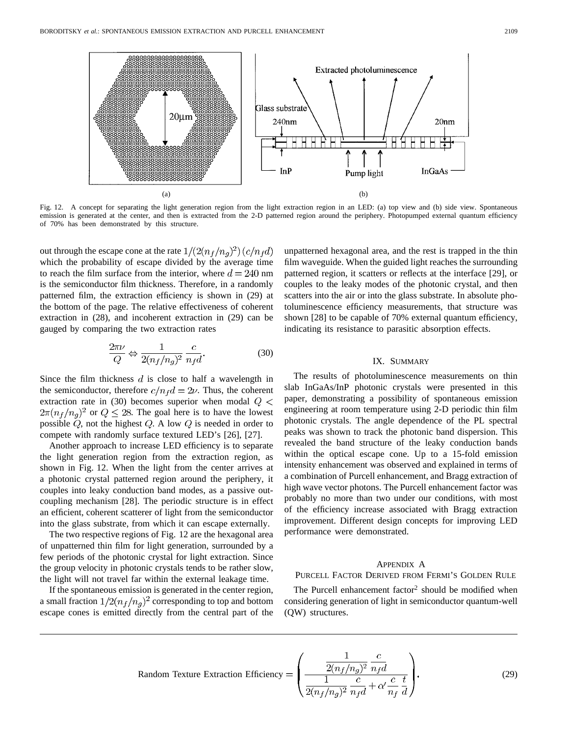

Fig. 12. A concept for separating the light generation region from the light extraction region in an LED: (a) top view and (b) side view. Spontaneous emission is generated at the center, and then is extracted from the 2-D patterned region around the periphery. Photopumped external quantum efficiency of 70% has been demonstrated by this structure.

out through the escape cone at the rate  $1/(2(n_f/n_q)^2)(c/n_f d)$ which the probability of escape divided by the average time to reach the film surface from the interior, where  $d = 240$  nm is the semiconductor film thickness. Therefore, in a randomly patterned film, the extraction efficiency is shown in (29) at the bottom of the page. The relative effectiveness of coherent extraction in (28), and incoherent extraction in (29) can be gauged by comparing the two extraction rates

$$
\frac{2\pi\nu}{Q} \Leftrightarrow \frac{1}{2(n_f/n_g)^2} \frac{c}{n_f d}.
$$
 (30)

Since the film thickness  $d$  is close to half a wavelength in the semiconductor, therefore  $c/n_f d = 2\nu$ . Thus, the coherent extraction rate in (30) becomes superior when modal  $Q \leq$  $2\pi (n_f/n_g)^2$  or  $Q \le 28$ . The goal here is to have the lowest possible  $Q$ , not the highest  $Q$ . A low  $Q$  is needed in order to compete with randomly surface textured LED's [26], [27].

Another approach to increase LED efficiency is to separate the light generation region from the extraction region, as shown in Fig. 12. When the light from the center arrives at a photonic crystal patterned region around the periphery, it couples into leaky conduction band modes, as a passive outcoupling mechanism [28]. The periodic structure is in effect an efficient, coherent scatterer of light from the semiconductor into the glass substrate, from which it can escape externally.

The two respective regions of Fig. 12 are the hexagonal area of unpatterned thin film for light generation, surrounded by a few periods of the photonic crystal for light extraction. Since the group velocity in photonic crystals tends to be rather slow, the light will not travel far within the external leakage time.

If the spontaneous emission is generated in the center region, a small fraction  $1/2(n_f/n_g)^2$  corresponding to top and bottom escape cones is emitted directly from the central part of the unpatterned hexagonal area, and the rest is trapped in the thin film waveguide. When the guided light reaches the surrounding patterned region, it scatters or reflects at the interface [29], or couples to the leaky modes of the photonic crystal, and then scatters into the air or into the glass substrate. In absolute photoluminescence efficiency measurements, that structure was shown [28] to be capable of 70% external quantum efficiency, indicating its resistance to parasitic absorption effects.

#### IX. SUMMARY

The results of photoluminescence measurements on thin slab InGaAs/InP photonic crystals were presented in this paper, demonstrating a possibility of spontaneous emission engineering at room temperature using 2-D periodic thin film photonic crystals. The angle dependence of the PL spectral peaks was shown to track the photonic band dispersion. This revealed the band structure of the leaky conduction bands within the optical escape cone. Up to a 15-fold emission intensity enhancement was observed and explained in terms of a combination of Purcell enhancement, and Bragg extraction of high wave vector photons. The Purcell enhancement factor was probably no more than two under our conditions, with most of the efficiency increase associated with Bragg extraction improvement. Different design concepts for improving LED performance were demonstrated.

#### APPENDIX A

#### PURCELL FACTOR DERIVED FROM FERMI'S GOLDEN RULE

The Purcell enhancement factor<sup>2</sup> should be modified when considering generation of light in semiconductor quantum-well (QW) structures.

Random Texture Extraction Efficiency = 
$$
\left(\frac{\frac{1}{2(n_f/n_g)^2} \frac{c}{n_f d}}{\frac{1}{2(n_f/n_g)^2} \frac{c}{n_f d} + \alpha' \frac{c}{n_f} \frac{t}{d}}\right).
$$
 (29)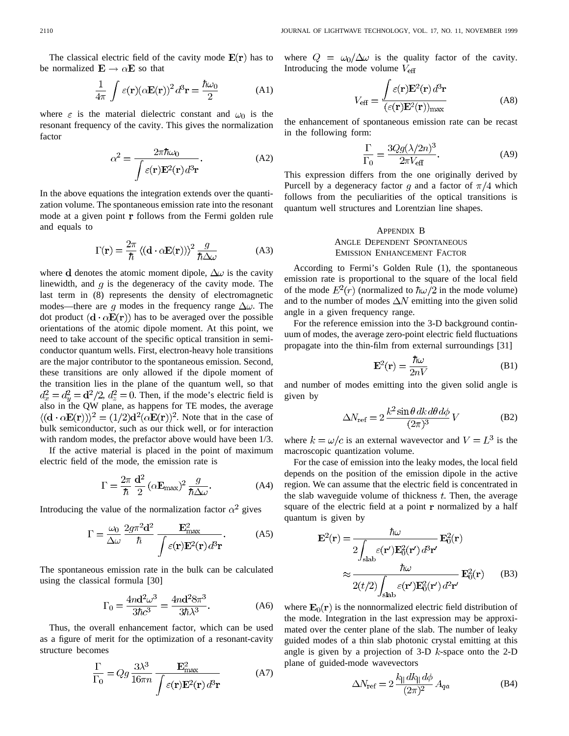The classical electric field of the cavity mode  $E(r)$  has to be normalized  $\mathbf{E} \rightarrow \alpha \mathbf{E}$  so that

$$
\frac{1}{4\pi} \int \varepsilon(\mathbf{r}) (\alpha \mathbf{E}(\mathbf{r}))^2 d^3 \mathbf{r} = \frac{\hbar \omega_0}{2}
$$
 (A1)

where  $\varepsilon$  is the material dielectric constant and  $\omega_0$  is the resonant frequency of the cavity. This gives the normalization factor

$$
\alpha^2 = \frac{2\pi\hbar\omega_0}{\int \varepsilon(\mathbf{r})\mathbf{E}^2(\mathbf{r})d^3\mathbf{r}}.
$$
 (A2)

In the above equations the integration extends over the quantization volume. The spontaneous emission rate into the resonant mode at a given point  $r$  follows from the Fermi golden rule and equals to

$$
\Gamma(\mathbf{r}) = \frac{2\pi}{\hbar} \left\langle (\mathbf{d} \cdot \alpha \mathbf{E}(\mathbf{r})) \right\rangle^2 \frac{g}{\hbar \Delta \omega} \tag{A3}
$$

where d denotes the atomic moment dipole,  $\Delta\omega$  is the cavity linewidth, and  $q$  is the degeneracy of the cavity mode. The last term in (8) represents the density of electromagnetic modes—there are q modes in the frequency range  $\Delta\omega$ . The dot product  $(d \cdot \alpha E(r))$  has to be averaged over the possible orientations of the atomic dipole moment. At this point, we need to take account of the specific optical transition in semiconductor quantum wells. First, electron-heavy hole transitions are the major contributor to the spontaneous emission. Second, these transitions are only allowed if the dipole moment of the transition lies in the plane of the quantum well, so that  $d_x^2 = d_y^2 = \frac{d^2}{2}$ ,  $d_z^2 = 0$ . Then, if the mode's electric field is also in the QW plane, as happens for TE modes, the average  $\langle (\mathbf{d} \cdot \alpha \mathbf{E}(\mathbf{r})) \rangle^2 = (1/2) \mathbf{d}^2 (\alpha \mathbf{E}(\mathbf{r}))^2$ . Note that in the case of bulk semiconductor, such as our thick well, or for interaction with random modes, the prefactor above would have been 1/3.

If the active material is placed in the point of maximum electric field of the mode, the emission rate is

$$
\Gamma = \frac{2\pi}{\hbar} \frac{\mathrm{d}^2}{2} \left( \alpha \mathbf{E}_{\text{max}} \right)^2 \frac{g}{\hbar \Delta \omega}.
$$
 (A4)

Introducing the value of the normalization factor  $\alpha^2$  gives

$$
\Gamma = \frac{\omega_0}{\Delta \omega} \frac{2g\pi^2 \mathbf{d}^2}{\hbar} \frac{\mathbf{E}_{\text{max}}^2}{\int \varepsilon(\mathbf{r}) \mathbf{E}^2(\mathbf{r}) d^3 \mathbf{r}}.
$$
 (A5)

The spontaneous emission rate in the bulk can be calculated using the classical formula [30]

$$
\Gamma_0 = \frac{4n\mathbf{d}^2\omega^3}{3\hbar c^3} = \frac{4n\mathbf{d}^2 8\pi^3}{3\hbar \lambda^3}.
$$
 (A6)

Thus, the overall enhancement factor, which can be used as a figure of merit for the optimization of a resonant-cavity structure becomes

$$
\frac{\Gamma}{\Gamma_0} = Qg \frac{3\lambda^3}{16\pi n} \frac{\mathbf{E}_{\text{max}}^2}{\int \varepsilon(\mathbf{r}) \mathbf{E}^2(\mathbf{r}) d^3 \mathbf{r}} \tag{A7}
$$

where  $Q = \omega_0/\Delta\omega$  is the quality factor of the cavity. Introducing the mode volume  $V_{\text{eff}}$ 

$$
V_{\text{eff}} = \frac{\int \varepsilon(\mathbf{r}) \mathbf{E}^2(\mathbf{r}) d^3 \mathbf{r}}{(\varepsilon(\mathbf{r}) \mathbf{E}^2(\mathbf{r}))_{\text{max}}} \tag{A8}
$$

the enhancement of spontaneous emission rate can be recast in the following form:

$$
\frac{\Gamma}{\Gamma_0} = \frac{3Qg(\lambda/2n)^3}{2\pi V_{\text{eff}}}.
$$
 (A9)

This expression differs from the one originally derived by Purcell by a degeneracy factor q and a factor of  $\pi/4$  which follows from the peculiarities of the optical transitions is quantum well structures and Lorentzian line shapes.

# APPENDIX B ANGLE DEPENDENT SPONTANEOUS EMISSION ENHANCEMENT FACTOR

According to Fermi's Golden Rule (1), the spontaneous emission rate is proportional to the square of the local field of the mode  $E^2(r)$  (normalized to  $\hbar \omega/2$  in the mode volume) and to the number of modes  $\Delta N$  emitting into the given solid angle in a given frequency range.

For the reference emission into the 3-D background continuum of modes, the average zero-point electric field fluctuations propagate into the thin-film from external surroundings [31]

$$
\mathbf{E}^2(\mathbf{r}) = \frac{\hbar\omega}{2nV} \tag{B1}
$$

and number of modes emitting into the given solid angle is given by

$$
\Delta N_{\rm ref} = 2 \frac{k^2 \sin \theta \, dk \, d\theta \, d\phi}{(2\pi)^3} V \tag{B2}
$$

where  $k = \omega/c$  is an external wavevector and  $V = L^3$  is the macroscopic quantization volume.

For the case of emission into the leaky modes, the local field depends on the position of the emission dipole in the active region. We can assume that the electric field is concentrated in the slab waveguide volume of thickness  $t$ . Then, the average square of the electric field at a point  **normalized by a half** quantum is given by

$$
\mathbf{E}^{2}(\mathbf{r}) = \frac{\hbar \omega}{2 \int_{\text{slab}} \varepsilon(\mathbf{r}') \mathbf{E}_{0}^{2}(\mathbf{r}') d^{3} \mathbf{r}'} \mathbf{E}_{0}^{2}(\mathbf{r})
$$

$$
\approx \frac{\hbar \omega}{2(t/2) \int_{\text{slab}} \varepsilon(\mathbf{r}') \mathbf{E}_{0}^{2}(\mathbf{r}') d^{2} \mathbf{r}'} \mathbf{E}_{0}^{2}(\mathbf{r})}
$$
(B3)

where  $\mathbf{E}_0(\mathbf{r})$  is the nonnormalized electric field distribution of the mode. Integration in the last expression may be approximated over the center plane of the slab. The number of leaky guided modes of a thin slab photonic crystal emitting at this angle is given by a projection of 3-D  $k$ -space onto the 2-D plane of guided-mode wavevectors

$$
\Delta N_{\rm ref} = 2 \frac{k_{\parallel} dk_{\parallel} d\phi}{(2\pi)^2} A_{qa} \tag{B4}
$$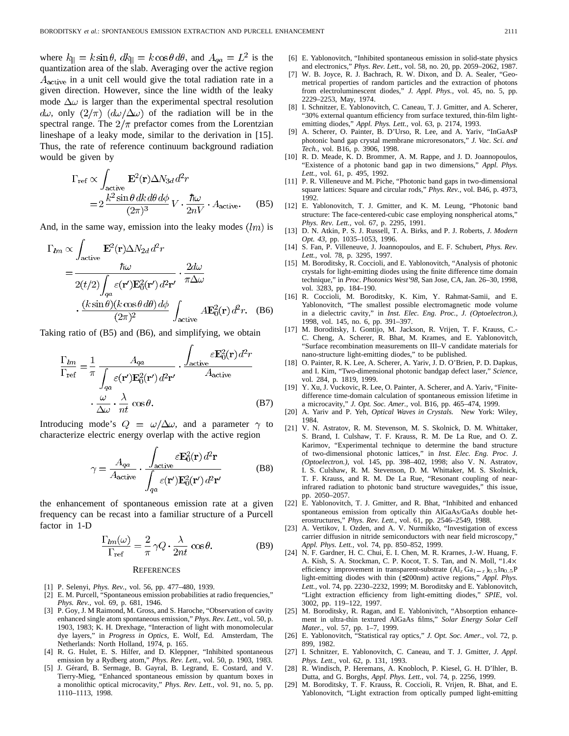where  $k_{\parallel} = k \sin \theta$ ,  $dk_{\parallel} = k \cos \theta d\theta$ , and  $A_{qa} = L^2$  is the quantization area of the slab. Averaging over the active region  $A<sub>active</sub>$  in a unit cell would give the total radiation rate in a given direction. However, since the line width of the leaky mode  $\Delta\omega$  is larger than the experimental spectral resolution  $d\omega$ , only  $(2/\pi)$   $(d\omega/\Delta\omega)$  of the radiation will be in the spectral range. The  $2/\pi$  prefactor comes from the Lorentzian lineshape of a leaky mode, similar to the derivation in [15]. Thus, the rate of reference continuum background radiation would be given by

$$
\Gamma_{\text{ref}} \propto \int_{\text{active}} \mathbf{E}^2(\mathbf{r}) \Delta N_{3d} d^2 r
$$
  
= 
$$
2 \frac{k^2 \sin \theta \, dk \, d\theta \, d\phi}{(2\pi)^3} V \cdot \frac{\hbar \omega}{2nV} \cdot A_{\text{active}}.
$$
 (B5)

And, in the same way, emission into the leaky modes  $\langle lm \rangle$  is

$$
\Gamma_{lm} \propto \int_{\text{active}} \mathbf{E}^2(\mathbf{r}) \Delta N_{2d} d^2 r
$$
\n
$$
= \frac{\hbar \omega}{2(t/2) \int_{qa} \varepsilon(\mathbf{r}') \mathbf{E}_0^2(\mathbf{r}') d^2 \mathbf{r}'} \cdot \frac{2d\omega}{\pi \Delta \omega}
$$
\n
$$
\cdot \frac{(k \sin \theta)(k \cos \theta \, d\theta) \, d\phi}{(2\pi)^2} \int_{\text{active}} A \mathbf{E}_0^2(\mathbf{r}) d^2 r. \quad (B6)
$$

Taking ratio of (B5) and (B6), and simplifying, we obtain

$$
\frac{\Gamma_{lm}}{\Gamma_{\text{ref}}} = \frac{1}{\pi} \frac{A_{qa}}{\int_{qa} \varepsilon(\mathbf{r}') \mathbf{E}_{0}^{2}(\mathbf{r}') d^{2} \mathbf{r}'} \cdot \frac{\int_{\text{active}} \varepsilon \mathbf{E}_{0}^{2}(\mathbf{r}) d^{2} r}{A_{\text{active}}}
$$
\n
$$
\cdot \frac{\omega}{\Delta \omega} \cdot \frac{\lambda}{nt} \cos \theta. \tag{B7}
$$

Introducing mode's  $Q = \omega/\Delta\omega$ , and a parameter  $\gamma$  to characterize electric energy overlap with the active region

$$
\gamma = \frac{A_{qa}}{A_{\text{active}}} \cdot \frac{\int_{\text{active}} \varepsilon \mathbf{E}_0^2(\mathbf{r}) d^2 \mathbf{r}}{\int_{qa} \varepsilon(\mathbf{r'}) \mathbf{E}_0^2(\mathbf{r'}) d^2 \mathbf{r'}}
$$
(B8)

the enhancement of spontaneous emission rate at a given frequency can be recast into a familiar structure of a Purcell factor in 1-D

$$
\frac{\Gamma_{lm}(\omega)}{\Gamma_{\text{ref}}} = \frac{2}{\pi} \gamma Q \cdot \frac{\lambda}{2nt} \cos \theta.
$$
 (B9)

#### **REFERENCES**

- [1] P. Selenyi, *Phys. Rev.,* vol. 56, pp. 477–480, 1939.
- [2] E. M. Purcell, "Spontaneous emission probabilities at radio frequencies," *Phys. Rev.,* vol. 69, p. 681, 1946.
- [3] P. Goy, J. M Raimond, M. Gross, and S. Haroche, "Observation of cavity enhanced single atom spontaneous emission," *Phys. Rev. Lett.,* vol. 50, p. 1903, 1983; K. H. Drexhage, "Interaction of light with monomolecular dye layers," in *Progress in Optics,* E. Wolf, Ed. Amsterdam, The Netherlands: North Holland, 1974, p. 165.
- [4] R. G. Hulet, E. S. Hilfer, and D. Kleppner, "Inhibited spontaneous emission by a Rydberg atom," *Phys. Rev. Lett.,* vol. 50, p. 1903, 1983.
- [5] J. Gerard, B. Sermage, B. Gayral, B. Legrand, E. Costard, and V. ´ Tierry-Mieg, "Enhanced spontaneous emission by quantum boxes in a monolithic optical microcavity," *Phys. Rev. Lett.,* vol. 91, no. 5, pp. 1110–1113, 1998.
- [7] W. B. Joyce, R. J. Bachrach, R. W. Dixon, and D. A. Sealer, "Geometrical properties of random particles and the extraction of photons from electroluminescent diodes," *J. Appl. Phys.,* vol. 45, no. 5, pp. 2229–2253, May, 1974.
- [8] I. Schnitzer, E. Yablonovitch, C. Caneau, T. J. Gmitter, and A. Scherer, "30% external quantum efficiency from surface textured, thin-film lightemitting diodes," *Appl. Phys. Lett.,* vol. 63, p. 2174, 1993.
- [9] A. Scherer, O. Painter, B. D'Urso, R. Lee, and A. Yariv, "InGaAsP photonic band gap crystal membrane microresonators," *J. Vac. Sci. and Tech.,* vol. B16, p. 3906, 1998.
- [10] R. D. Meade, K. D. Brommer, A. M. Rappe, and J. D. Joannopoulos, "Existence of a photonic band gap in two dimensions," *Appl. Phys. Lett.,* vol. 61, p. 495, 1992.
- [11] P. R. Villeneuve and M. Piche, "Photonic band gaps in two-dimensional square lattices: Square and circular rods," *Phys. Rev.,* vol. B46, p. 4973, 1992.
- [12] E. Yablonovitch, T. J. Gmitter, and K. M. Leung, "Photonic band structure: The face-centered-cubic case employing nonspherical atoms," *Phys. Rev. Lett.,* vol. 67, p. 2295, 1991.
- [13] D. N. Atkin, P. S. J. Russell, T. A. Birks, and P. J. Roberts, *J. Modern Opt. 43,* pp. 1035–1053, 1996.
- [14] S. Fan, P. Villeneuve, J. Joannopoulos, and E. F. Schubert, *Phys. Rev. Lett.,* vol. 78, p. 3295, 1997.
- [15] M. Boroditsky, R. Coccioli, and E. Yablonovitch, "Analysis of photonic crystals for light-emitting diodes using the finite difference time domain technique," in *Proc. Photonics West'98,* San Jose, CA, Jan. 26–30, 1998, vol. 3283, pp. 184–190.
- [16] R. Coccioli, M. Boroditsky, K. Kim, Y. Rahmat-Samii, and E. Yablonovitch, "The smallest possible electromagnetic mode volume in a dielectric cavity," in *Inst. Elec. Eng. Proc., J. (Optoelectron.),* 1998, vol. 145, no. 6, pp. 391–397.
- [17] M. Boroditsky, I. Gontijo, M. Jackson, R. Vrijen, T. F. Krauss, C.- C. Cheng, A. Scherer, R. Bhat, M. Krames, and E. Yablonovitch, "Surface recombination measurements on III–V candidate materials for nano-structure light-emitting diodes," to be published.
- [18] O. Painter, R. K. Lee, A. Scherer, A. Yariv, J. D. O'Brien, P. D. Dapkus, and I. Kim, "Two-dimensional photonic bandgap defect laser," *Science,* vol. 284, p. 1819, 1999.
- [19] Y. Xu, J. Vuckovic, R. Lee, O. Painter, A. Scherer, and A. Yariv, "Finitedifference time-domain calculation of spontaneous emission lifetime in a microcavity," *J. Opt. Soc. Amer.,* vol. B16, pp. 465–474, 1999.
- [20] A. Yariv and P. Yeh, *Optical Waves in Crystals.* New York: Wiley, 1984.
- [21] V. N. Astratov, R. M. Stevenson, M. S. Skolnick, D. M. Whittaker, S. Brand, I. Culshaw, T. F. Krauss, R. M. De La Rue, and O. Z. Karimov, "Experimental technique to determine the band structure of two-dimensional photonic lattices," in *Inst. Elec. Eng. Proc. J. (Optoelectron.),* vol. 145, pp. 398–402, 1998; also V. N. Astratov, I. S. Culshaw, R. M. Stevenson, D. M. Whittaker, M. S. Skolnick, T. F. Krauss, and R. M. De La Rue, "Resonant coupling of nearinfrared radiation to photonic band structure waveguides," this issue, pp. 2050–2057.
- [22] E. Yablonovitch, T. J. Gmitter, and R. Bhat, "Inhibited and enhanced spontaneous emission from optically thin AlGaAs/GaAs double heterostructures," *Phys. Rev. Lett.,* vol. 61, pp. 2546–2549, 1988.
- [23] A. Vertikov, I. Ozden, and A. V. Nurmikko, "Investigation of excess carrier diffusion in nitride semiconductors with near field microscopy," *Appl. Phys. Lett.,* vol. 74, pp. 850–852, 1999.
- [24] N. F. Gardner, H. C. Chui, E. I. Chen, M. R. Krarnes, J.-W. Huang, F. A. Kish, S. A. Stockman, C. P. Kocot, T. S. Tan, and N. Moll, "1.4× Appl. Friys. Lett., vol. 14, pp. 800–602, 1999.<br>N. F. Gardner, H. C. Chui, E. I. Chen, M. R. Krarnes, J.-W. Huang, F.<br>A. Kish, S. A. Stockman, C. P. Kocot, T. S. Tan, and N. Moll, "1.4×<br>efficiency improvement in transpare light-emitting diodes with thin (≤200nm) active regions," *Appl. Phys. Lett.,* vol. 74, pp. 2230–2232, 1999; M. Boroditsky and E. Yablonovitch, "Light extraction efficiency from light-emitting diodes," *SPIE,* vol. 3002, pp. 119–122, 1997.
- [25] M. Boroditsky, R. Ragan, and E. Yablonivitch, "Absorption enhancement in ultra-thin textured AlGaAs films," *Solar Energy Solar Cell Mater.,* vol. 57, pp. 1–7, 1999.
- [26] E. Yablonovitch, "Statistical ray optics," *J. Opt. Soc. Amer.,* vol. 72, p. 899, 1982.
- [27] I. Schnitzer, E. Yablonovitch, C. Caneau, and T. J. Gmitter, *J. Appl. Phys. Lett.,* vol. 62, p. 131, 1993.
- [28] R. Windisch, P. Heremans, A. Knobloch, P. Kiesel, G. H. D'lhler, B. Dutta, and G. Borghs, *Appl. Phys. Lett.,* vol. 74, p. 2256, 1999.
- [29] M. Boroditsky, T. F. Krauss, R. Coccioli, R. Vrijen, R. Bhat, and E. Yablonovitch, "Light extraction from optically pumped light-emitting